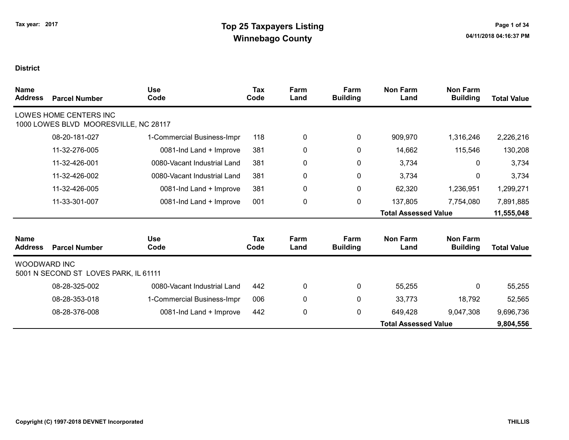| <b>Name</b><br><b>Address</b> | <b>Parcel Number</b>                                            | <b>Use</b><br>Code          | Tax<br>Code        | Farm<br>Land | Farm<br><b>Building</b> | <b>Non Farm</b><br>Land     | <b>Non Farm</b><br><b>Building</b> | <b>Total Value</b> |
|-------------------------------|-----------------------------------------------------------------|-----------------------------|--------------------|--------------|-------------------------|-----------------------------|------------------------------------|--------------------|
|                               | LOWES HOME CENTERS INC<br>1000 LOWES BLVD MOORESVILLE, NC 28117 |                             |                    |              |                         |                             |                                    |                    |
|                               | 08-20-181-027                                                   | 1-Commercial Business-Impr  | 118                | 0            | 0                       | 909,970                     | 1,316,246                          | 2,226,216          |
|                               | 11-32-276-005                                                   | 0081-Ind Land + Improve     | 381                | 0            | 0                       | 14,662                      | 115,546                            | 130,208            |
|                               | 11-32-426-001                                                   | 0080-Vacant Industrial Land | 381                | 0            | $\pmb{0}$               | 3,734                       | 0                                  | 3,734              |
|                               | 11-32-426-002                                                   | 0080-Vacant Industrial Land | 381                | 0            | $\pmb{0}$               | 3,734                       | 0                                  | 3,734              |
|                               | 11-32-426-005                                                   | 0081-Ind Land + Improve     | 381                | 0            | $\pmb{0}$               | 62,320                      | 1,236,951                          | 1,299,271          |
|                               | 11-33-301-007                                                   | 0081-Ind Land + Improve     | 001                | 0            | 0                       | 137,805                     | 7,754,080                          | 7,891,885          |
|                               |                                                                 |                             |                    |              |                         | <b>Total Assessed Value</b> |                                    | 11,555,048         |
| <b>Name</b><br><b>Address</b> | <b>Parcel Number</b>                                            | <b>Use</b><br>Code          | <b>Tax</b><br>Code | Farm<br>Land | Farm<br><b>Building</b> | <b>Non Farm</b><br>Land     | <b>Non Farm</b><br><b>Building</b> | <b>Total Value</b> |
| <b>WOODWARD INC</b>           | 5001 N SECOND ST LOVES PARK, IL 61111                           |                             |                    |              |                         |                             |                                    |                    |
|                               | 08-28-325-002                                                   | 0080-Vacant Industrial Land | 442                | 0            | 0                       | 55,255                      | 0                                  | 55,255             |
|                               | 08-28-353-018                                                   | 1-Commercial Business-Impr  | 006                | 0            | 0                       | 33,773                      | 18,792                             | 52,565             |
|                               | 08-28-376-008                                                   | 0081-Ind Land + Improve     | 442                | 0            | 0                       | 649,428                     | 9,047,308                          | 9,696,736          |
|                               |                                                                 |                             |                    |              |                         | <b>Total Assessed Value</b> |                                    | 9,804,556          |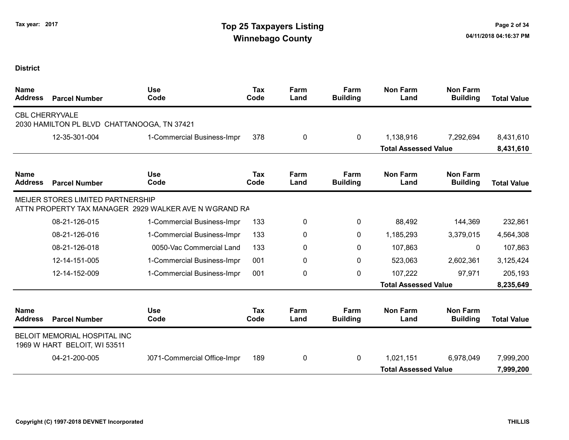| <b>Name</b><br><b>Address</b> | <b>Parcel Number</b>                                         | <b>Use</b><br>Code                                    | <b>Tax</b><br>Code | Farm<br>Land | Farm<br><b>Building</b> | <b>Non Farm</b><br>Land     | <b>Non Farm</b><br><b>Building</b> | <b>Total Value</b> |
|-------------------------------|--------------------------------------------------------------|-------------------------------------------------------|--------------------|--------------|-------------------------|-----------------------------|------------------------------------|--------------------|
| <b>CBL CHERRYVALE</b>         | 2030 HAMILTON PL BLVD CHATTANOOGA, TN 37421                  |                                                       |                    |              |                         |                             |                                    |                    |
|                               | 12-35-301-004                                                | 1-Commercial Business-Impr                            | 378                | 0            | $\mathbf 0$             | 1,138,916                   | 7,292,694                          | 8,431,610          |
|                               |                                                              |                                                       |                    |              |                         | <b>Total Assessed Value</b> |                                    | 8,431,610          |
| <b>Name</b><br><b>Address</b> | <b>Parcel Number</b>                                         | <b>Use</b><br>Code                                    | <b>Tax</b><br>Code | Farm<br>Land | Farm<br><b>Building</b> | <b>Non Farm</b><br>Land     | <b>Non Farm</b><br><b>Building</b> | <b>Total Value</b> |
|                               | <b>MEIJER STORES LIMITED PARTNERSHIP</b>                     | ATTN PROPERTY TAX MANAGER 2929 WALKER AVE N WGRAND RA |                    |              |                         |                             |                                    |                    |
|                               | 08-21-126-015                                                | 1-Commercial Business-Impr                            | 133                | 0            | $\mathbf{0}$            | 88,492                      | 144,369                            | 232,861            |
|                               | 08-21-126-016                                                | 1-Commercial Business-Impr                            | 133                | 0            | 0                       | 1,185,293                   | 3,379,015                          | 4,564,308          |
|                               | 08-21-126-018                                                | 0050-Vac Commercial Land                              | 133                | 0            | 0                       | 107,863                     | 0                                  | 107,863            |
|                               | 12-14-151-005                                                | 1-Commercial Business-Impr                            | 001                | 0            | $\mathbf{0}$            | 523,063                     | 2,602,361                          | 3,125,424          |
|                               | 12-14-152-009                                                | 1-Commercial Business-Impr                            | 001                | 0            | 0                       | 107,222                     | 97,971                             | 205,193            |
|                               |                                                              |                                                       |                    |              |                         | <b>Total Assessed Value</b> |                                    | 8,235,649          |
| <b>Name</b><br><b>Address</b> | <b>Parcel Number</b>                                         | <b>Use</b><br>Code                                    | Tax<br>Code        | Farm<br>Land | Farm<br><b>Building</b> | <b>Non Farm</b><br>Land     | <b>Non Farm</b><br><b>Building</b> | <b>Total Value</b> |
|                               | BELOIT MEMORIAL HOSPITAL INC<br>1969 W HART BELOIT, WI 53511 |                                                       |                    |              |                         |                             |                                    |                    |
|                               | 04-21-200-005                                                | 0071-Commercial Office-Impr                           | 189                | 0            | $\Omega$                | 1,021,151                   | 6,978,049                          | 7,999,200          |
|                               |                                                              |                                                       |                    |              |                         | <b>Total Assessed Value</b> |                                    | 7,999,200          |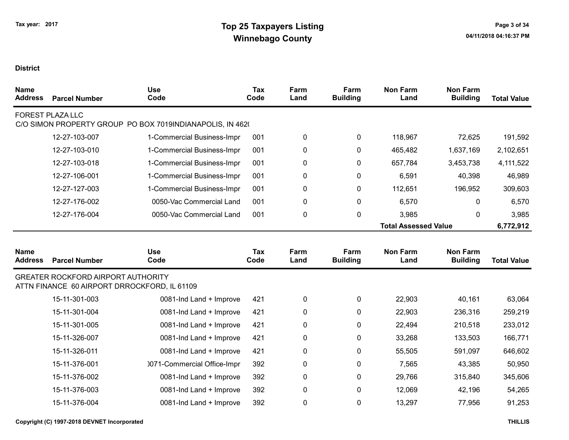| <b>Name</b><br><b>Address</b> | <b>Parcel Number</b>                                                                      | <b>Use</b><br>Code                                        | Tax<br>Code | Farm<br>Land | Farm<br><b>Building</b> | <b>Non Farm</b><br>Land     | <b>Non Farm</b><br><b>Building</b> | <b>Total Value</b> |
|-------------------------------|-------------------------------------------------------------------------------------------|-----------------------------------------------------------|-------------|--------------|-------------------------|-----------------------------|------------------------------------|--------------------|
|                               | <b>FOREST PLAZA LLC</b>                                                                   | C/O SIMON PROPERTY GROUP PO BOX 7019INDIANAPOLIS, IN 4620 |             |              |                         |                             |                                    |                    |
|                               | 12-27-103-007                                                                             | 1-Commercial Business-Impr                                | 001         | 0            | 0                       | 118,967                     | 72,625                             | 191,592            |
|                               | 12-27-103-010                                                                             | 1-Commercial Business-Impr                                | 001         | 0            | 0                       | 465,482                     | 1,637,169                          | 2,102,651          |
|                               | 12-27-103-018                                                                             | 1-Commercial Business-Impr                                | 001         | 0            | 0                       | 657,784                     | 3,453,738                          | 4,111,522          |
|                               | 12-27-106-001                                                                             | 1-Commercial Business-Impr                                | 001         | 0            | 0                       | 6,591                       | 40,398                             | 46,989             |
|                               | 12-27-127-003                                                                             | 1-Commercial Business-Impr                                | 001         | 0            | 0                       | 112,651                     | 196,952                            | 309,603            |
|                               | 12-27-176-002                                                                             | 0050-Vac Commercial Land                                  | 001         | 0            | 0                       | 6,570                       | $\mathbf{0}$                       | 6,570              |
|                               | 12-27-176-004                                                                             | 0050-Vac Commercial Land                                  | 001         | $\pmb{0}$    | $\mathbf 0$             | 3,985                       | 0                                  | 3,985              |
|                               |                                                                                           |                                                           |             |              |                         | <b>Total Assessed Value</b> |                                    | 6,772,912          |
| <b>Name</b><br><b>Address</b> | <b>Parcel Number</b>                                                                      | <b>Use</b><br>Code                                        | Tax<br>Code | Farm<br>Land | Farm<br><b>Building</b> | <b>Non Farm</b><br>Land     | <b>Non Farm</b><br><b>Building</b> | <b>Total Value</b> |
|                               | <b>GREATER ROCKFORD AIRPORT AUTHORITY</b><br>ATTN FINANCE 60 AIRPORT DRROCKFORD, IL 61109 |                                                           |             |              |                         |                             |                                    |                    |
|                               | 15-11-301-003                                                                             | 0081-Ind Land + Improve                                   | 421         | $\pmb{0}$    | $\mathbf 0$             | 22,903                      | 40,161                             | 63,064             |
|                               | 15-11-301-004                                                                             | 0081-Ind Land + Improve                                   | 421         | $\pmb{0}$    | 0                       | 22,903                      | 236,316                            | 259,219            |
|                               | 15-11-301-005                                                                             | 0081-Ind Land + Improve                                   | 421         | 0            | 0                       | 22,494                      | 210,518                            | 233,012            |
|                               | 15-11-326-007                                                                             | 0081-Ind Land + Improve                                   | 421         | 0            | 0                       | 33,268                      | 133,503                            | 166,771            |
|                               | 15-11-326-011                                                                             | 0081-Ind Land + Improve                                   | 421         | $\pmb{0}$    | 0                       | 55,505                      | 591,097                            | 646,602            |
|                               | 15-11-376-001                                                                             | 0071-Commercial Office-Impr                               | 392         | 0            | 0                       | 7,565                       | 43,385                             | 50,950             |
|                               | 15-11-376-002                                                                             | 0081-Ind Land + Improve                                   | 392         | $\pmb{0}$    | $\mathbf 0$             | 29,766                      | 315,840                            | 345,606            |
|                               | 15-11-376-003                                                                             | 0081-Ind Land + Improve                                   | 392         | $\pmb{0}$    | 0                       | 12,069                      | 42,196                             | 54,265             |
|                               | 15-11-376-004                                                                             | 0081-Ind Land + Improve                                   | 392         | $\pmb{0}$    | $\Omega$                | 13,297                      | 77,956                             | 91,253             |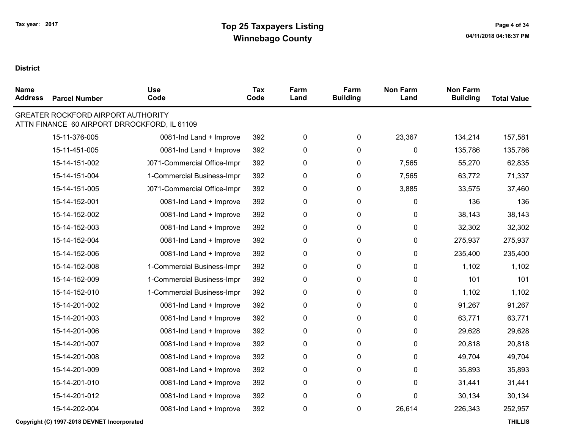| <b>Name</b><br><b>Address</b> | <b>Parcel Number</b> | <b>Use</b><br>Code                                                                        | <b>Tax</b><br>Code | Farm<br>Land | Farm<br><b>Building</b> | <b>Non Farm</b><br>Land | <b>Non Farm</b><br><b>Building</b> | <b>Total Value</b> |
|-------------------------------|----------------------|-------------------------------------------------------------------------------------------|--------------------|--------------|-------------------------|-------------------------|------------------------------------|--------------------|
|                               |                      | <b>GREATER ROCKFORD AIRPORT AUTHORITY</b><br>ATTN FINANCE 60 AIRPORT DRROCKFORD, IL 61109 |                    |              |                         |                         |                                    |                    |
|                               | 15-11-376-005        | 0081-Ind Land + Improve                                                                   | 392                | 0            | 0                       | 23,367                  | 134,214                            | 157,581            |
|                               | 15-11-451-005        | 0081-Ind Land + Improve                                                                   | 392                | 0            | 0                       | 0                       | 135,786                            | 135,786            |
|                               | 15-14-151-002        | 0071-Commercial Office-Impr                                                               | 392                | 0            | 0                       | 7,565                   | 55,270                             | 62,835             |
|                               | 15-14-151-004        | 1-Commercial Business-Impr                                                                | 392                | 0            | $\mathbf 0$             | 7,565                   | 63,772                             | 71,337             |
|                               | 15-14-151-005        | 0071-Commercial Office-Impr                                                               | 392                | 0            | 0                       | 3,885                   | 33,575                             | 37,460             |
|                               | 15-14-152-001        | 0081-Ind Land + Improve                                                                   | 392                | 0            | 0                       | 0                       | 136                                | 136                |
|                               | 15-14-152-002        | 0081-Ind Land + Improve                                                                   | 392                | 0            | 0                       | 0                       | 38,143                             | 38,143             |
|                               | 15-14-152-003        | 0081-Ind Land + Improve                                                                   | 392                | 0            | 0                       | 0                       | 32,302                             | 32,302             |
|                               | 15-14-152-004        | 0081-Ind Land + Improve                                                                   | 392                | 0            | 0                       | 0                       | 275,937                            | 275,937            |
|                               | 15-14-152-006        | 0081-Ind Land + Improve                                                                   | 392                | 0            | 0                       | 0                       | 235,400                            | 235,400            |
|                               | 15-14-152-008        | 1-Commercial Business-Impr                                                                | 392                | 0            | 0                       | 0                       | 1,102                              | 1,102              |
|                               | 15-14-152-009        | 1-Commercial Business-Impr                                                                | 392                | 0            | 0                       | 0                       | 101                                | 101                |
|                               | 15-14-152-010        | 1-Commercial Business-Impr                                                                | 392                | 0            | 0                       | 0                       | 1,102                              | 1,102              |
|                               | 15-14-201-002        | 0081-Ind Land + Improve                                                                   | 392                | 0            | 0                       | 0                       | 91,267                             | 91,267             |
|                               | 15-14-201-003        | 0081-Ind Land + Improve                                                                   | 392                | 0            | 0                       | 0                       | 63,771                             | 63,771             |
|                               | 15-14-201-006        | 0081-Ind Land + Improve                                                                   | 392                | 0            | 0                       | 0                       | 29,628                             | 29,628             |
|                               | 15-14-201-007        | 0081-Ind Land + Improve                                                                   | 392                | 0            | 0                       | 0                       | 20,818                             | 20,818             |
|                               | 15-14-201-008        | 0081-Ind Land + Improve                                                                   | 392                | 0            | 0                       | 0                       | 49,704                             | 49,704             |
|                               | 15-14-201-009        | 0081-Ind Land + Improve                                                                   | 392                | 0            | 0                       | 0                       | 35,893                             | 35,893             |
|                               | 15-14-201-010        | 0081-Ind Land + Improve                                                                   | 392                | 0            | 0                       | 0                       | 31,441                             | 31,441             |
|                               | 15-14-201-012        | 0081-Ind Land + Improve                                                                   | 392                | 0            | 0                       | 0                       | 30,134                             | 30,134             |
|                               | 15-14-202-004        | 0081-Ind Land + Improve                                                                   | 392                | 0            | 0                       | 26,614                  | 226,343                            | 252,957            |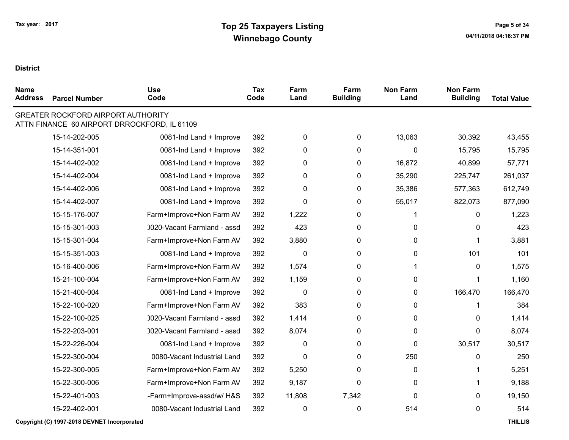$\blacksquare$ 

| <b>Name</b><br><b>Address</b> | <b>Parcel Number</b>                      | <b>Use</b><br>Code                           | <b>Tax</b><br>Code | Farm<br>Land | Farm<br><b>Building</b> | <b>Non Farm</b><br>Land | <b>Non Farm</b><br><b>Building</b> | <b>Total Value</b> |
|-------------------------------|-------------------------------------------|----------------------------------------------|--------------------|--------------|-------------------------|-------------------------|------------------------------------|--------------------|
|                               | <b>GREATER ROCKFORD AIRPORT AUTHORITY</b> | ATTN FINANCE 60 AIRPORT DRROCKFORD, IL 61109 |                    |              |                         |                         |                                    |                    |
|                               | 15-14-202-005                             | 0081-Ind Land + Improve                      | 392                | 0            | $\mathbf 0$             | 13,063                  | 30,392                             | 43,455             |
|                               | 15-14-351-001                             | 0081-Ind Land + Improve                      | 392                | 0            | $\mathbf 0$             | 0                       | 15,795                             | 15,795             |
|                               | 15-14-402-002                             | 0081-Ind Land + Improve                      | 392                | 0            | $\mathbf 0$             | 16,872                  | 40,899                             | 57,771             |
|                               | 15-14-402-004                             | 0081-Ind Land + Improve                      | 392                | 0            | $\mathbf 0$             | 35,290                  | 225,747                            | 261,037            |
|                               | 15-14-402-006                             | 0081-Ind Land + Improve                      | 392                | 0            | $\mathbf 0$             | 35,386                  | 577,363                            | 612,749            |
|                               | 15-14-402-007                             | 0081-Ind Land + Improve                      | 392                | 0            | 0                       | 55,017                  | 822,073                            | 877,090            |
|                               | 15-15-176-007                             | Farm+Improve+Non Farm AV                     | 392                | 1,222        | $\pmb{0}$               |                         | 0                                  | 1,223              |
|                               | 15-15-301-003                             | 0020-Vacant Farmland - assd                  | 392                | 423          | 0                       | 0                       | $\mathbf{0}$                       | 423                |
|                               | 15-15-301-004                             | Farm+Improve+Non Farm AV                     | 392                | 3,880        | $\mathbf{0}$            | 0                       |                                    | 3,881              |
|                               | 15-15-351-003                             | 0081-Ind Land + Improve                      | 392                | 0            | 0                       | 0                       | 101                                | 101                |
|                               | 15-16-400-006                             | Farm+Improve+Non Farm AV                     | 392                | 1,574        | 0                       |                         | $\mathbf{0}$                       | 1,575              |
|                               | 15-21-100-004                             | Farm+Improve+Non Farm AV                     | 392                | 1,159        | 0                       | 0                       |                                    | 1,160              |
|                               | 15-21-400-004                             | 0081-Ind Land + Improve                      | 392                | $\mathbf 0$  | $\mathbf 0$             | 0                       | 166,470                            | 166,470            |
|                               | 15-22-100-020                             | Farm+Improve+Non Farm AV                     | 392                | 383          | 0                       | 0                       |                                    | 384                |
|                               | 15-22-100-025                             | 0020-Vacant Farmland - assd                  | 392                | 1,414        | 0                       | 0                       | $\mathbf{0}$                       | 1,414              |
|                               | 15-22-203-001                             | 0020-Vacant Farmland - assd                  | 392                | 8,074        | $\pmb{0}$               | 0                       | 0                                  | 8,074              |
|                               | 15-22-226-004                             | 0081-Ind Land + Improve                      | 392                | $\mathbf{0}$ | $\mathbf{0}$            | 0                       | 30,517                             | 30,517             |
|                               | 15-22-300-004                             | 0080-Vacant Industrial Land                  | 392                | 0            | $\mathbf 0$             | 250                     | 0                                  | 250                |
|                               | 15-22-300-005                             | Farm+Improve+Non Farm AV                     | 392                | 5,250        | 0                       | 0                       |                                    | 5,251              |
|                               | 15-22-300-006                             | Farm+Improve+Non Farm AV                     | 392                | 9,187        | $\mathbf{0}$            | 0                       |                                    | 9,188              |
|                               | 15-22-401-003                             | -Farm+Improve-assd/w/ H&S                    | 392                | 11,808       | 7,342                   | 0                       | 0                                  | 19,150             |
|                               | 15-22-402-001                             | 0080-Vacant Industrial Land                  | 392                | 0            | $\mathbf 0$             | 514                     | $\mathbf{0}$                       | 514                |

Copyright (C) 1997-2018 DEVNET Incorporated THILLIS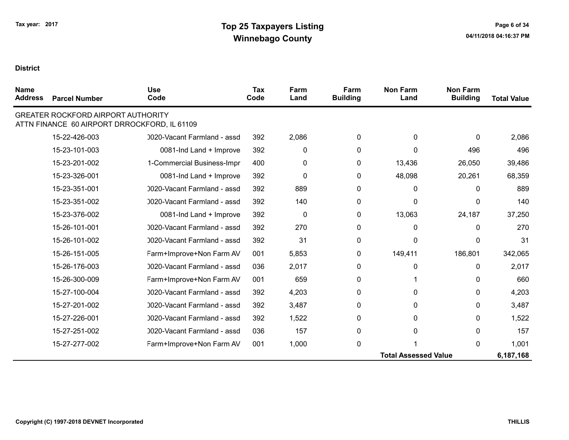| <b>Name</b><br><b>Address</b> | <b>Parcel Number</b>                      | <b>Use</b><br>Code                           | Tax<br>Code | Farm<br>Land | Farm<br><b>Building</b> | <b>Non Farm</b><br>Land     | <b>Non Farm</b><br><b>Building</b> | <b>Total Value</b> |
|-------------------------------|-------------------------------------------|----------------------------------------------|-------------|--------------|-------------------------|-----------------------------|------------------------------------|--------------------|
|                               | <b>GREATER ROCKFORD AIRPORT AUTHORITY</b> | ATTN FINANCE 60 AIRPORT DRROCKFORD, IL 61109 |             |              |                         |                             |                                    |                    |
|                               | 15-22-426-003                             | 0020-Vacant Farmland - assd                  | 392         | 2,086        | $\Omega$                | 0                           | 0                                  | 2,086              |
|                               | 15-23-101-003                             | 0081-Ind Land + Improve                      | 392         | 0            | 0                       | o                           | 496                                | 496                |
|                               | 15-23-201-002                             | 1-Commercial Business-Impr                   | 400         | 0            | 0                       | 13,436                      | 26,050                             | 39,486             |
|                               | 15-23-326-001                             | 0081-Ind Land + Improve                      | 392         | 0            | 0                       | 48,098                      | 20,261                             | 68,359             |
|                               | 15-23-351-001                             | 0020-Vacant Farmland - assd                  | 392         | 889          | $\mathbf{0}$            | 0                           | 0                                  | 889                |
|                               | 15-23-351-002                             | 0020-Vacant Farmland - assd                  | 392         | 140          | $\mathbf{0}$            | 0                           | 0                                  | 140                |
|                               | 15-23-376-002                             | 0081-Ind Land + Improve                      | 392         | $\mathbf 0$  | $\mathbf{0}$            | 13,063                      | 24,187                             | 37,250             |
|                               | 15-26-101-001                             | 0020-Vacant Farmland - assd                  | 392         | 270          | $\mathbf{0}$            | 0                           | 0                                  | 270                |
|                               | 15-26-101-002                             | 0020-Vacant Farmland - assd                  | 392         | 31           | $\Omega$                | 0                           | 0                                  | 31                 |
|                               | 15-26-151-005                             | Farm+Improve+Non Farm AV                     | 001         | 5,853        | 0                       | 149,411                     | 186,801                            | 342,065            |
|                               | 15-26-176-003                             | 0020-Vacant Farmland - assd                  | 036         | 2,017        | $\Omega$                | 0                           | $\Omega$                           | 2,017              |
|                               | 15-26-300-009                             | Farm+Improve+Non Farm AV                     | 001         | 659          | $\mathbf{0}$            |                             | 0                                  | 660                |
|                               | 15-27-100-004                             | 0020-Vacant Farmland - assd                  | 392         | 4,203        | 0                       | 0                           | 0                                  | 4,203              |
|                               | 15-27-201-002                             | 0020-Vacant Farmland - assd                  | 392         | 3,487        | 0                       | 0                           | 0                                  | 3,487              |
|                               | 15-27-226-001                             | 0020-Vacant Farmland - assd                  | 392         | 1,522        | 0                       | 0                           | 0                                  | 1,522              |
|                               | 15-27-251-002                             | 0020-Vacant Farmland - assd                  | 036         | 157          | $\mathbf{0}$            | 0                           | 0                                  | 157                |
|                               | 15-27-277-002                             | Farm+Improve+Non Farm AV                     | 001         | 1,000        | 0                       |                             | 0                                  | 1,001              |
|                               |                                           |                                              |             |              |                         | <b>Total Assessed Value</b> |                                    | 6,187,168          |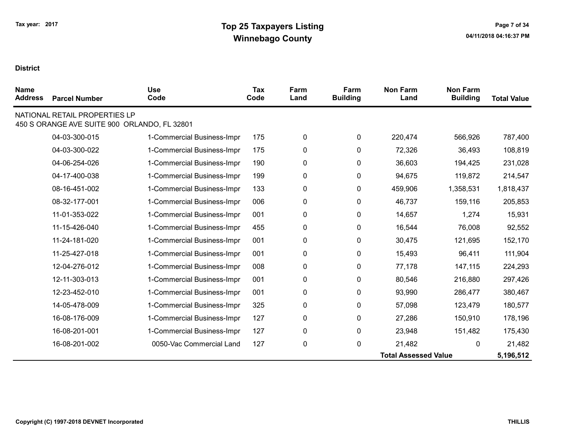| <b>Name</b><br><b>Address</b> | <b>Parcel Number</b>                                                          | <b>Use</b><br>Code         | Tax<br>Code | Farm<br>Land | Farm<br><b>Building</b> | <b>Non Farm</b><br>Land     | <b>Non Farm</b><br><b>Building</b> | <b>Total Value</b> |
|-------------------------------|-------------------------------------------------------------------------------|----------------------------|-------------|--------------|-------------------------|-----------------------------|------------------------------------|--------------------|
|                               | NATIONAL RETAIL PROPERTIES LP<br>450 S ORANGE AVE SUITE 900 ORLANDO, FL 32801 |                            |             |              |                         |                             |                                    |                    |
|                               | 04-03-300-015                                                                 | 1-Commercial Business-Impr | 175         | 0            | 0                       | 220,474                     | 566,926                            | 787,400            |
|                               | 04-03-300-022                                                                 | 1-Commercial Business-Impr | 175         | 0            | 0                       | 72,326                      | 36,493                             | 108,819            |
|                               | 04-06-254-026                                                                 | 1-Commercial Business-Impr | 190         | 0            | 0                       | 36,603                      | 194,425                            | 231,028            |
|                               | 04-17-400-038                                                                 | 1-Commercial Business-Impr | 199         | 0            | 0                       | 94,675                      | 119,872                            | 214,547            |
|                               | 08-16-451-002                                                                 | 1-Commercial Business-Impr | 133         | 0            | 0                       | 459,906                     | 1,358,531                          | 1,818,437          |
|                               | 08-32-177-001                                                                 | 1-Commercial Business-Impr | 006         | 0            | 0                       | 46,737                      | 159,116                            | 205,853            |
|                               | 11-01-353-022                                                                 | 1-Commercial Business-Impr | 001         | 0            | 0                       | 14,657                      | 1,274                              | 15,931             |
|                               | 11-15-426-040                                                                 | 1-Commercial Business-Impr | 455         | 0            | 0                       | 16,544                      | 76,008                             | 92,552             |
|                               | 11-24-181-020                                                                 | 1-Commercial Business-Impr | 001         | 0            | 0                       | 30,475                      | 121,695                            | 152,170            |
|                               | 11-25-427-018                                                                 | 1-Commercial Business-Impr | 001         | 0            | 0                       | 15,493                      | 96,411                             | 111,904            |
|                               | 12-04-276-012                                                                 | 1-Commercial Business-Impr | 008         | 0            | 0                       | 77,178                      | 147,115                            | 224,293            |
|                               | 12-11-303-013                                                                 | 1-Commercial Business-Impr | 001         | 0            | 0                       | 80,546                      | 216,880                            | 297,426            |
|                               | 12-23-452-010                                                                 | 1-Commercial Business-Impr | 001         | 0            | 0                       | 93,990                      | 286,477                            | 380,467            |
|                               | 14-05-478-009                                                                 | 1-Commercial Business-Impr | 325         | 0            | 0                       | 57,098                      | 123,479                            | 180,577            |
|                               | 16-08-176-009                                                                 | 1-Commercial Business-Impr | 127         | 0            | $\mathbf{0}$            | 27,286                      | 150,910                            | 178,196            |
|                               | 16-08-201-001                                                                 | 1-Commercial Business-Impr | 127         | 0            | 0                       | 23,948                      | 151,482                            | 175,430            |
|                               | 16-08-201-002                                                                 | 0050-Vac Commercial Land   | 127         | $\pmb{0}$    | 0                       | 21,482                      | 0                                  | 21,482             |
|                               |                                                                               |                            |             |              |                         | <b>Total Assessed Value</b> |                                    | 5,196,512          |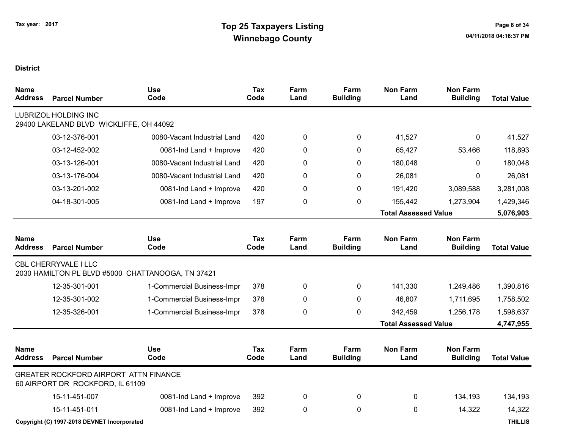| Name<br><b>Address</b>        | <b>Parcel Number</b>                                                      | <b>Use</b><br>Code                                | <b>Tax</b><br>Code | Farm<br>Land | Farm<br><b>Building</b> | <b>Non Farm</b><br>Land     | <b>Non Farm</b><br><b>Building</b> | <b>Total Value</b> |
|-------------------------------|---------------------------------------------------------------------------|---------------------------------------------------|--------------------|--------------|-------------------------|-----------------------------|------------------------------------|--------------------|
|                               | <b>LUBRIZOL HOLDING INC</b><br>29400 LAKELAND BLVD WICKLIFFE, OH 44092    |                                                   |                    |              |                         |                             |                                    |                    |
|                               | 03-12-376-001                                                             | 0080-Vacant Industrial Land                       | 420                | 0            | 0                       | 41,527                      | 0                                  | 41,527             |
|                               | 03-12-452-002                                                             | 0081-Ind Land + Improve                           | 420                | 0            | 0                       | 65,427                      | 53,466                             | 118,893            |
|                               | 03-13-126-001                                                             | 0080-Vacant Industrial Land                       | 420                | 0            | $\mathbf{0}$            | 180,048                     | $\Omega$                           | 180,048            |
|                               | 03-13-176-004                                                             | 0080-Vacant Industrial Land                       | 420                | 0            | $\mathbf{0}$            | 26,081                      | $\mathbf{0}$                       | 26,081             |
|                               | 03-13-201-002                                                             | 0081-Ind Land + Improve                           | 420                | 0            | $\mathbf{0}$            | 191,420                     | 3,089,588                          | 3,281,008          |
|                               | 04-18-301-005                                                             | 0081-Ind Land + Improve                           | 197                | 0            | $\pmb{0}$               | 155,442                     | 1,273,904                          | 1,429,346          |
|                               |                                                                           |                                                   |                    |              |                         | <b>Total Assessed Value</b> |                                    | 5,076,903          |
| <b>Name</b><br><b>Address</b> | <b>Parcel Number</b>                                                      | <b>Use</b><br>Code                                | Tax<br>Code        | Farm<br>Land | Farm<br><b>Building</b> | <b>Non Farm</b><br>Land     | <b>Non Farm</b><br><b>Building</b> | <b>Total Value</b> |
|                               | <b>CBL CHERRYVALE I LLC</b>                                               | 2030 HAMILTON PL BLVD #5000 CHATTANOOGA, TN 37421 |                    |              |                         |                             |                                    |                    |
|                               | 12-35-301-001                                                             | 1-Commercial Business-Impr                        | 378                | 0            | 0                       | 141,330                     | 1,249,486                          | 1,390,816          |
|                               | 12-35-301-002                                                             | 1-Commercial Business-Impr                        | 378                | 0            | $\mathbf{0}$            | 46,807                      | 1,711,695                          | 1,758,502          |
|                               | 12-35-326-001                                                             | 1-Commercial Business-Impr                        | 378                | 0            | 0                       | 342,459                     | 1,256,178                          | 1,598,637          |
|                               |                                                                           |                                                   |                    |              |                         | <b>Total Assessed Value</b> |                                    | 4,747,955          |
| <b>Name</b><br><b>Address</b> | <b>Parcel Number</b>                                                      | <b>Use</b><br>Code                                | <b>Tax</b><br>Code | Farm<br>Land | Farm<br><b>Building</b> | <b>Non Farm</b><br>Land     | <b>Non Farm</b><br><b>Building</b> | <b>Total Value</b> |
|                               | GREATER ROCKFORD AIRPORT ATTN FINANCE<br>60 AIRPORT DR ROCKFORD, IL 61109 |                                                   |                    |              |                         |                             |                                    |                    |
|                               | 15-11-451-007                                                             | 0081-Ind Land + Improve                           | 392                | 0            | $\mathbf 0$             | 0                           | 134,193                            | 134,193            |
|                               | 15-11-451-011                                                             | 0081-Ind Land + Improve                           | 392                | 0            | $\mathbf 0$             | $\pmb{0}$                   | 14,322                             | 14,322             |
|                               | Copyright (C) 1997-2018 DEVNET Incorporated                               |                                                   |                    |              |                         |                             |                                    | <b>THILLIS</b>     |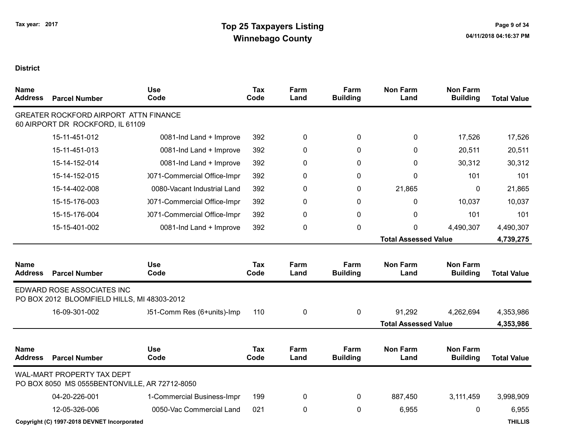| <b>Name</b><br><b>Address</b> | <b>Parcel Number</b>                                                        | <b>Use</b><br>Code          | <b>Tax</b><br>Code | Farm<br>Land | Farm<br><b>Building</b> | <b>Non Farm</b><br>Land     | <b>Non Farm</b><br><b>Building</b> | <b>Total Value</b> |
|-------------------------------|-----------------------------------------------------------------------------|-----------------------------|--------------------|--------------|-------------------------|-----------------------------|------------------------------------|--------------------|
|                               | GREATER ROCKFORD AIRPORT ATTN FINANCE<br>60 AIRPORT DR ROCKFORD, IL 61109   |                             |                    |              |                         |                             |                                    |                    |
|                               | 15-11-451-012                                                               | 0081-Ind Land + Improve     | 392                | 0            | $\mathbf{0}$            | 0                           | 17,526                             | 17,526             |
|                               | 15-11-451-013                                                               | 0081-Ind Land + Improve     | 392                | 0            | $\mathbf{0}$            | 0                           | 20,511                             | 20,511             |
|                               | 15-14-152-014                                                               | 0081-Ind Land + Improve     | 392                | 0            | 0                       | 0                           | 30,312                             | 30,312             |
|                               | 15-14-152-015                                                               | 0071-Commercial Office-Impr | 392                | 0            | 0                       | 0                           | 101                                | 101                |
|                               | 15-14-402-008                                                               | 0080-Vacant Industrial Land | 392                | 0            | $\mathbf{0}$            | 21,865                      | $\mathbf{0}$                       | 21,865             |
|                               | 15-15-176-003                                                               | 0071-Commercial Office-Impr | 392                | 0            | 0                       | 0                           | 10,037                             | 10,037             |
|                               | 15-15-176-004                                                               | 0071-Commercial Office-Impr | 392                | 0            | 0                       | 0                           | 101                                | 101                |
|                               | 15-15-401-002                                                               | 0081-Ind Land + Improve     | 392                | 0            | 0                       | 0                           | 4,490,307                          | 4,490,307          |
|                               |                                                                             |                             |                    |              |                         | <b>Total Assessed Value</b> |                                    | 4,739,275          |
| <b>Name</b><br><b>Address</b> | <b>Parcel Number</b>                                                        | <b>Use</b><br>Code          | <b>Tax</b><br>Code | Farm<br>Land | Farm<br><b>Building</b> | <b>Non Farm</b><br>Land     | <b>Non Farm</b><br><b>Building</b> | <b>Total Value</b> |
|                               | EDWARD ROSE ASSOCIATES INC<br>PO BOX 2012 BLOOMFIELD HILLS, MI 48303-2012   |                             |                    |              |                         |                             |                                    |                    |
|                               | 16-09-301-002                                                               | )51-Comm Res (6+units)-Imp  | 110                | 0            | 0                       | 91,292                      | 4,262,694                          | 4,353,986          |
|                               |                                                                             |                             |                    |              |                         | <b>Total Assessed Value</b> |                                    | 4,353,986          |
| <b>Name</b><br><b>Address</b> | <b>Parcel Number</b>                                                        | <b>Use</b><br>Code          | <b>Tax</b><br>Code | Farm<br>Land | Farm<br><b>Building</b> | <b>Non Farm</b><br>Land     | <b>Non Farm</b><br><b>Building</b> | <b>Total Value</b> |
|                               | WAL-MART PROPERTY TAX DEPT<br>PO BOX 8050 MS 0555BENTONVILLE, AR 72712-8050 |                             |                    |              |                         |                             |                                    |                    |
|                               | 04-20-226-001                                                               | 1-Commercial Business-Impr  | 199                | 0            | 0                       | 887,450                     | 3,111,459                          | 3,998,909          |
|                               | 12-05-326-006                                                               | 0050-Vac Commercial Land    | 021                | 0            | 0                       | 6,955                       | 0                                  | 6,955              |
|                               | Copyright (C) 1997-2018 DEVNET Incorporated                                 |                             |                    |              |                         |                             |                                    | <b>THILLIS</b>     |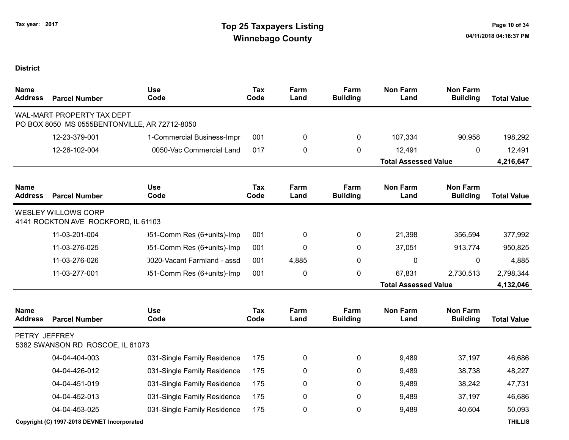| <b>Name</b><br><b>Address</b> | <b>Parcel Number</b>                                                        | <b>Use</b><br>Code          | <b>Tax</b><br>Code | Farm<br>Land | Farm<br><b>Building</b> | <b>Non Farm</b><br>Land     | <b>Non Farm</b><br><b>Building</b> | <b>Total Value</b> |
|-------------------------------|-----------------------------------------------------------------------------|-----------------------------|--------------------|--------------|-------------------------|-----------------------------|------------------------------------|--------------------|
|                               | WAL-MART PROPERTY TAX DEPT<br>PO BOX 8050 MS 0555BENTONVILLE, AR 72712-8050 |                             |                    |              |                         |                             |                                    |                    |
|                               | 12-23-379-001                                                               | 1-Commercial Business-Impr  | 001                | 0            | 0                       | 107,334                     | 90,958                             | 198,292            |
|                               | 12-26-102-004                                                               | 0050-Vac Commercial Land    | 017                | 0            | 0                       | 12,491                      | 0                                  | 12,491             |
|                               |                                                                             |                             |                    |              |                         | <b>Total Assessed Value</b> |                                    | 4,216,647          |
| <b>Name</b><br><b>Address</b> | <b>Parcel Number</b>                                                        | <b>Use</b><br>Code          | <b>Tax</b><br>Code | Farm<br>Land | Farm<br><b>Building</b> | <b>Non Farm</b><br>Land     | <b>Non Farm</b><br><b>Building</b> | <b>Total Value</b> |
|                               | <b>WESLEY WILLOWS CORP</b><br>4141 ROCKTON AVE ROCKFORD, IL 61103           |                             |                    |              |                         |                             |                                    |                    |
|                               | 11-03-201-004                                                               | )51-Comm Res (6+units)-Imp  | 001                | 0            | $\mathbf 0$             | 21,398                      | 356,594                            | 377,992            |
|                               | 11-03-276-025                                                               | )51-Comm Res (6+units)-Imp  | 001                | 0            | 0                       | 37,051                      | 913,774                            | 950,825            |
|                               | 11-03-276-026                                                               | 0020-Vacant Farmland - assd | 001                | 4,885        | 0                       | 0                           | 0                                  | 4,885              |
|                               | 11-03-277-001                                                               | )51-Comm Res (6+units)-Imp  | 001                | 0            | 0                       | 67,831                      | 2,730,513                          | 2,798,344          |
|                               |                                                                             |                             |                    |              |                         | <b>Total Assessed Value</b> |                                    | 4,132,046          |
| <b>Name</b><br><b>Address</b> | <b>Parcel Number</b>                                                        | <b>Use</b><br>Code          | <b>Tax</b><br>Code | Farm<br>Land | Farm<br><b>Building</b> | <b>Non Farm</b><br>Land     | <b>Non Farm</b><br><b>Building</b> | <b>Total Value</b> |
| PETRY JEFFREY                 | 5382 SWANSON RD ROSCOE, IL 61073                                            |                             |                    |              |                         |                             |                                    |                    |
|                               | 04-04-404-003                                                               | 031-Single Family Residence | 175                | 0            | 0                       | 9,489                       | 37,197                             | 46,686             |
|                               | 04-04-426-012                                                               | 031-Single Family Residence | 175                | 0            | 0                       | 9,489                       | 38,738                             | 48,227             |
|                               | 04-04-451-019                                                               | 031-Single Family Residence | 175                | 0            | 0                       | 9,489                       | 38,242                             | 47,731             |
|                               | 04-04-452-013                                                               | 031-Single Family Residence | 175                | 0            | 0                       | 9,489                       | 37,197                             | 46,686             |
|                               | 04-04-453-025                                                               | 031-Single Family Residence | 175                | 0            | 0                       | 9,489                       | 40,604                             | 50,093             |
|                               | Copyright (C) 1997-2018 DEVNET Incorporated                                 |                             |                    |              |                         |                             |                                    | <b>THILLIS</b>     |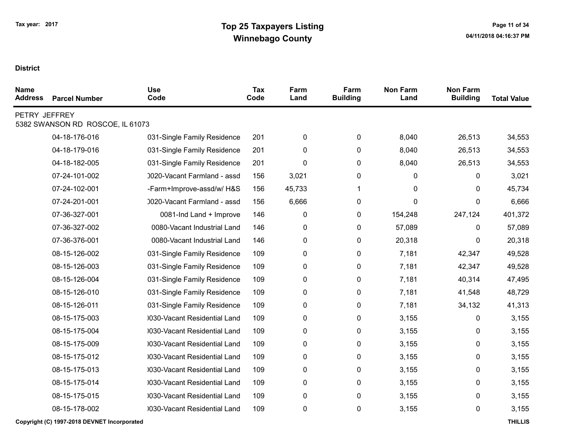| <b>Name</b><br><b>Address</b> | <b>Parcel Number</b>             | <b>Use</b><br>Code           | Tax<br>Code | Farm<br>Land | Farm<br><b>Building</b> | <b>Non Farm</b><br>Land | <b>Non Farm</b><br><b>Building</b> | <b>Total Value</b> |
|-------------------------------|----------------------------------|------------------------------|-------------|--------------|-------------------------|-------------------------|------------------------------------|--------------------|
| PETRY JEFFREY                 | 5382 SWANSON RD ROSCOE, IL 61073 |                              |             |              |                         |                         |                                    |                    |
|                               | 04-18-176-016                    | 031-Single Family Residence  | 201         | 0            | 0                       | 8,040                   | 26,513                             | 34,553             |
|                               | 04-18-179-016                    | 031-Single Family Residence  | 201         | 0            | 0                       | 8,040                   | 26,513                             | 34,553             |
|                               | 04-18-182-005                    | 031-Single Family Residence  | 201         | 0            | 0                       | 8,040                   | 26,513                             | 34,553             |
|                               | 07-24-101-002                    | 0020-Vacant Farmland - assd  | 156         | 3,021        | 0                       | 0                       | 0                                  | 3,021              |
|                               | 07-24-102-001                    | -Farm+Improve-assd/w/ H&S    | 156         | 45,733       | 1                       | 0                       | 0                                  | 45,734             |
|                               | 07-24-201-001                    | 0020-Vacant Farmland - assd  | 156         | 6,666        | 0                       | 0                       | 0                                  | 6,666              |
|                               | 07-36-327-001                    | 0081-Ind Land + Improve      | 146         | $\pmb{0}$    | 0                       | 154,248                 | 247,124                            | 401,372            |
|                               | 07-36-327-002                    | 0080-Vacant Industrial Land  | 146         | $\pmb{0}$    | 0                       | 57,089                  | 0                                  | 57,089             |
|                               | 07-36-376-001                    | 0080-Vacant Industrial Land  | 146         | $\pmb{0}$    | 0                       | 20,318                  | 0                                  | 20,318             |
|                               | 08-15-126-002                    | 031-Single Family Residence  | 109         | 0            | 0                       | 7,181                   | 42,347                             | 49,528             |
|                               | 08-15-126-003                    | 031-Single Family Residence  | 109         | 0            | 0                       | 7,181                   | 42,347                             | 49,528             |
|                               | 08-15-126-004                    | 031-Single Family Residence  | 109         | 0            | 0                       | 7,181                   | 40,314                             | 47,495             |
|                               | 08-15-126-010                    | 031-Single Family Residence  | 109         | 0            | 0                       | 7,181                   | 41,548                             | 48,729             |
|                               | 08-15-126-011                    | 031-Single Family Residence  | 109         | 0            | 0                       | 7,181                   | 34,132                             | 41,313             |
|                               | 08-15-175-003                    | 0030-Vacant Residential Land | 109         | 0            | 0                       | 3,155                   | 0                                  | 3,155              |
|                               | 08-15-175-004                    | 030-Vacant Residential Land  | 109         | 0            | 0                       | 3,155                   | 0                                  | 3,155              |
|                               | 08-15-175-009                    | 0030-Vacant Residential Land | 109         | 0            | 0                       | 3,155                   | 0                                  | 3,155              |
|                               | 08-15-175-012                    | 0030-Vacant Residential Land | 109         | 0            | 0                       | 3,155                   | 0                                  | 3,155              |
|                               | 08-15-175-013                    | 0030-Vacant Residential Land | 109         | 0            | 0                       | 3,155                   | 0                                  | 3,155              |
|                               | 08-15-175-014                    | 0030-Vacant Residential Land | 109         | 0            | 0                       | 3,155                   | 0                                  | 3,155              |
|                               | 08-15-175-015                    | 0030-Vacant Residential Land | 109         | 0            | 0                       | 3,155                   | 0                                  | 3,155              |
|                               | 08-15-178-002                    | 0030-Vacant Residential Land | 109         | 0            | 0                       | 3,155                   | 0                                  | 3,155              |
|                               |                                  |                              |             |              |                         |                         |                                    |                    |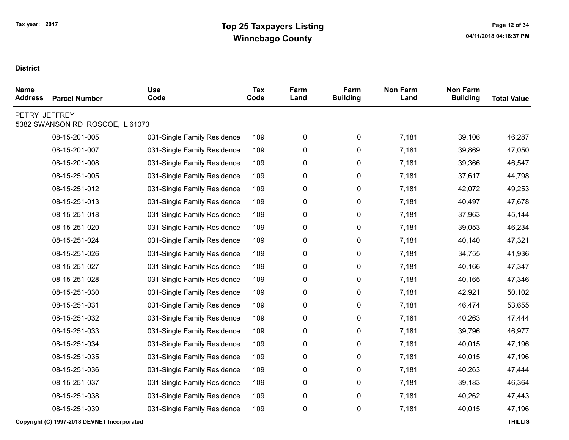| <b>Name</b><br><b>Address</b> | <b>Parcel Number</b>             | <b>Use</b><br>Code          | <b>Tax</b><br>Code | Farm<br>Land | Farm<br><b>Building</b> | <b>Non Farm</b><br>Land | <b>Non Farm</b><br><b>Building</b> | <b>Total Value</b> |
|-------------------------------|----------------------------------|-----------------------------|--------------------|--------------|-------------------------|-------------------------|------------------------------------|--------------------|
| PETRY JEFFREY                 | 5382 SWANSON RD ROSCOE, IL 61073 |                             |                    |              |                         |                         |                                    |                    |
|                               | 08-15-201-005                    | 031-Single Family Residence | 109                | $\pmb{0}$    | $\pmb{0}$               | 7,181                   | 39,106                             | 46,287             |
|                               | 08-15-201-007                    | 031-Single Family Residence | 109                | $\pmb{0}$    | $\pmb{0}$               | 7,181                   | 39,869                             | 47,050             |
|                               | 08-15-201-008                    | 031-Single Family Residence | 109                | 0            | 0                       | 7,181                   | 39,366                             | 46,547             |
|                               | 08-15-251-005                    | 031-Single Family Residence | 109                | $\pmb{0}$    | $\pmb{0}$               | 7,181                   | 37,617                             | 44,798             |
|                               | 08-15-251-012                    | 031-Single Family Residence | 109                | 0            | 0                       | 7,181                   | 42,072                             | 49,253             |
|                               | 08-15-251-013                    | 031-Single Family Residence | 109                | $\pmb{0}$    | $\pmb{0}$               | 7,181                   | 40,497                             | 47,678             |
|                               | 08-15-251-018                    | 031-Single Family Residence | 109                | 0            | 0                       | 7,181                   | 37,963                             | 45,144             |
|                               | 08-15-251-020                    | 031-Single Family Residence | 109                | $\pmb{0}$    | 0                       | 7,181                   | 39,053                             | 46,234             |
|                               | 08-15-251-024                    | 031-Single Family Residence | 109                | $\pmb{0}$    | 0                       | 7,181                   | 40,140                             | 47,321             |
|                               | 08-15-251-026                    | 031-Single Family Residence | 109                | $\pmb{0}$    | $\pmb{0}$               | 7,181                   | 34,755                             | 41,936             |
|                               | 08-15-251-027                    | 031-Single Family Residence | 109                | $\pmb{0}$    | $\pmb{0}$               | 7,181                   | 40,166                             | 47,347             |
|                               | 08-15-251-028                    | 031-Single Family Residence | 109                | $\pmb{0}$    | 0                       | 7,181                   | 40,165                             | 47,346             |
|                               | 08-15-251-030                    | 031-Single Family Residence | 109                | $\pmb{0}$    | 0                       | 7,181                   | 42,921                             | 50,102             |
|                               | 08-15-251-031                    | 031-Single Family Residence | 109                | 0            | 0                       | 7,181                   | 46,474                             | 53,655             |
|                               | 08-15-251-032                    | 031-Single Family Residence | 109                | $\pmb{0}$    | $\pmb{0}$               | 7,181                   | 40,263                             | 47,444             |
|                               | 08-15-251-033                    | 031-Single Family Residence | 109                | 0            | 0                       | 7,181                   | 39,796                             | 46,977             |
|                               | 08-15-251-034                    | 031-Single Family Residence | 109                | $\pmb{0}$    | 0                       | 7,181                   | 40,015                             | 47,196             |
|                               | 08-15-251-035                    | 031-Single Family Residence | 109                | $\pmb{0}$    | 0                       | 7,181                   | 40,015                             | 47,196             |
|                               | 08-15-251-036                    | 031-Single Family Residence | 109                | $\pmb{0}$    | $\pmb{0}$               | 7,181                   | 40,263                             | 47,444             |
|                               | 08-15-251-037                    | 031-Single Family Residence | 109                | $\pmb{0}$    | 0                       | 7,181                   | 39,183                             | 46,364             |
|                               | 08-15-251-038                    | 031-Single Family Residence | 109                | 0            | 0                       | 7,181                   | 40,262                             | 47,443             |
|                               | 08-15-251-039                    | 031-Single Family Residence | 109                | $\pmb{0}$    | $\pmb{0}$               | 7,181                   | 40,015                             | 47,196             |
|                               |                                  |                             |                    |              |                         |                         |                                    |                    |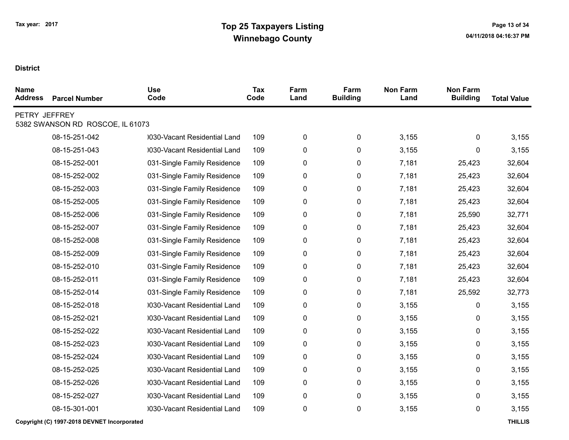| <b>Name</b><br><b>Address</b> | <b>Parcel Number</b>             | <b>Use</b><br>Code           | <b>Tax</b><br>Code | Farm<br>Land | Farm<br><b>Building</b> | <b>Non Farm</b><br>Land | <b>Non Farm</b><br><b>Building</b> | <b>Total Value</b> |
|-------------------------------|----------------------------------|------------------------------|--------------------|--------------|-------------------------|-------------------------|------------------------------------|--------------------|
| PETRY JEFFREY                 | 5382 SWANSON RD ROSCOE, IL 61073 |                              |                    |              |                         |                         |                                    |                    |
|                               | 08-15-251-042                    | 0030-Vacant Residential Land | 109                | 0            | 0                       | 3,155                   | 0                                  | 3,155              |
|                               | 08-15-251-043                    | 0030-Vacant Residential Land | 109                | 0            | 0                       | 3,155                   | 0                                  | 3,155              |
|                               | 08-15-252-001                    | 031-Single Family Residence  | 109                | 0            | 0                       | 7,181                   | 25,423                             | 32,604             |
|                               | 08-15-252-002                    | 031-Single Family Residence  | 109                | 0            | 0                       | 7,181                   | 25,423                             | 32,604             |
|                               | 08-15-252-003                    | 031-Single Family Residence  | 109                | 0            | 0                       | 7,181                   | 25,423                             | 32,604             |
|                               | 08-15-252-005                    | 031-Single Family Residence  | 109                | 0            | 0                       | 7,181                   | 25,423                             | 32,604             |
|                               | 08-15-252-006                    | 031-Single Family Residence  | 109                | 0            | 0                       | 7,181                   | 25,590                             | 32,771             |
|                               | 08-15-252-007                    | 031-Single Family Residence  | 109                | 0            | 0                       | 7,181                   | 25,423                             | 32,604             |
|                               | 08-15-252-008                    | 031-Single Family Residence  | 109                | 0            | 0                       | 7,181                   | 25,423                             | 32,604             |
|                               | 08-15-252-009                    | 031-Single Family Residence  | 109                | 0            | 0                       | 7,181                   | 25,423                             | 32,604             |
|                               | 08-15-252-010                    | 031-Single Family Residence  | 109                | 0            | 0                       | 7,181                   | 25,423                             | 32,604             |
|                               | 08-15-252-011                    | 031-Single Family Residence  | 109                | 0            | 0                       | 7,181                   | 25,423                             | 32,604             |
|                               | 08-15-252-014                    | 031-Single Family Residence  | 109                | 0            | 0                       | 7,181                   | 25,592                             | 32,773             |
|                               | 08-15-252-018                    | 0030-Vacant Residential Land | 109                | 0            | 0                       | 3,155                   | 0                                  | 3,155              |
|                               | 08-15-252-021                    | 0030-Vacant Residential Land | 109                | 0            | 0                       | 3,155                   | 0                                  | 3,155              |
|                               | 08-15-252-022                    | 0030-Vacant Residential Land | 109                | 0            | 0                       | 3,155                   | 0                                  | 3,155              |
|                               | 08-15-252-023                    | 0030-Vacant Residential Land | 109                | 0            | 0                       | 3,155                   | 0                                  | 3,155              |
|                               | 08-15-252-024                    | 0030-Vacant Residential Land | 109                | 0            | 0                       | 3,155                   | 0                                  | 3,155              |
|                               | 08-15-252-025                    | 0030-Vacant Residential Land | 109                | 0            | 0                       | 3,155                   | 0                                  | 3,155              |
|                               | 08-15-252-026                    | 0030-Vacant Residential Land | 109                | 0            | 0                       | 3,155                   | 0                                  | 3,155              |
|                               | 08-15-252-027                    | 0030-Vacant Residential Land | 109                | 0            | 0                       | 3,155                   | 0                                  | 3,155              |
|                               | 08-15-301-001                    | 0030-Vacant Residential Land | 109                | 0            | 0                       | 3,155                   | 0                                  | 3,155              |
|                               |                                  |                              |                    |              |                         |                         |                                    |                    |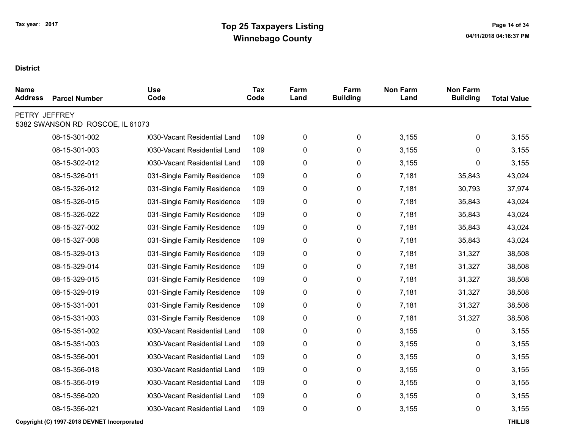| <b>Name</b><br><b>Address</b> | <b>Parcel Number</b>             | <b>Use</b><br>Code           | <b>Tax</b><br>Code | Farm<br>Land | Farm<br><b>Building</b> | <b>Non Farm</b><br>Land | <b>Non Farm</b><br><b>Building</b> | <b>Total Value</b> |
|-------------------------------|----------------------------------|------------------------------|--------------------|--------------|-------------------------|-------------------------|------------------------------------|--------------------|
| PETRY JEFFREY                 | 5382 SWANSON RD ROSCOE, IL 61073 |                              |                    |              |                         |                         |                                    |                    |
|                               | 08-15-301-002                    | 0030-Vacant Residential Land | 109                | 0            | 0                       | 3,155                   | 0                                  | 3,155              |
|                               | 08-15-301-003                    | 0030-Vacant Residential Land | 109                | 0            | 0                       | 3,155                   | 0                                  | 3,155              |
|                               | 08-15-302-012                    | 0030-Vacant Residential Land | 109                | 0            | 0                       | 3,155                   | 0                                  | 3,155              |
|                               | 08-15-326-011                    | 031-Single Family Residence  | 109                | 0            | 0                       | 7,181                   | 35,843                             | 43,024             |
|                               | 08-15-326-012                    | 031-Single Family Residence  | 109                | 0            | 0                       | 7,181                   | 30,793                             | 37,974             |
|                               | 08-15-326-015                    | 031-Single Family Residence  | 109                | 0            | 0                       | 7,181                   | 35,843                             | 43,024             |
|                               | 08-15-326-022                    | 031-Single Family Residence  | 109                | 0            | 0                       | 7,181                   | 35,843                             | 43,024             |
|                               | 08-15-327-002                    | 031-Single Family Residence  | 109                | 0            | 0                       | 7,181                   | 35,843                             | 43,024             |
|                               | 08-15-327-008                    | 031-Single Family Residence  | 109                | 0            | 0                       | 7,181                   | 35,843                             | 43,024             |
|                               | 08-15-329-013                    | 031-Single Family Residence  | 109                | 0            | 0                       | 7,181                   | 31,327                             | 38,508             |
|                               | 08-15-329-014                    | 031-Single Family Residence  | 109                | 0            | 0                       | 7,181                   | 31,327                             | 38,508             |
|                               | 08-15-329-015                    | 031-Single Family Residence  | 109                | 0            | 0                       | 7,181                   | 31,327                             | 38,508             |
|                               | 08-15-329-019                    | 031-Single Family Residence  | 109                | 0            | 0                       | 7,181                   | 31,327                             | 38,508             |
|                               | 08-15-331-001                    | 031-Single Family Residence  | 109                | 0            | 0                       | 7,181                   | 31,327                             | 38,508             |
|                               | 08-15-331-003                    | 031-Single Family Residence  | 109                | 0            | 0                       | 7,181                   | 31,327                             | 38,508             |
|                               | 08-15-351-002                    | 0030-Vacant Residential Land | 109                | 0            | 0                       | 3,155                   | 0                                  | 3,155              |
|                               | 08-15-351-003                    | 0030-Vacant Residential Land | 109                | 0            | 0                       | 3,155                   | 0                                  | 3,155              |
|                               | 08-15-356-001                    | 0030-Vacant Residential Land | 109                | 0            | 0                       | 3,155                   | 0                                  | 3,155              |
|                               | 08-15-356-018                    | 0030-Vacant Residential Land | 109                | 0            | 0                       | 3,155                   | 0                                  | 3,155              |
|                               | 08-15-356-019                    | 0030-Vacant Residential Land | 109                | 0            | 0                       | 3,155                   | 0                                  | 3,155              |
|                               | 08-15-356-020                    | 0030-Vacant Residential Land | 109                | 0            | 0                       | 3,155                   | 0                                  | 3,155              |
|                               | 08-15-356-021                    | 0030-Vacant Residential Land | 109                | 0            | 0                       | 3,155                   | 0                                  | 3,155              |
|                               |                                  |                              |                    |              |                         |                         |                                    |                    |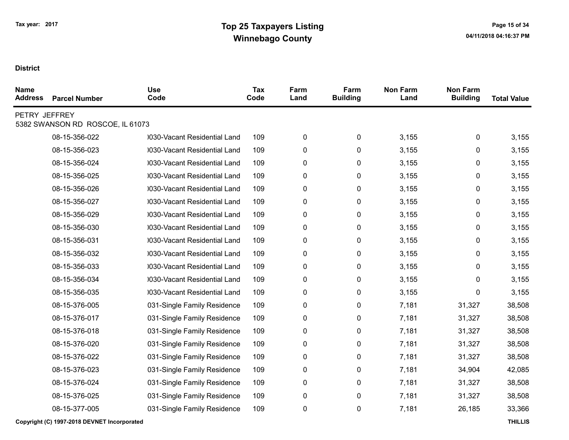| <b>Name</b><br><b>Address</b> | <b>Parcel Number</b>             | <b>Use</b><br>Code           | <b>Tax</b><br>Code | Farm<br>Land | Farm<br><b>Building</b> | <b>Non Farm</b><br>Land | <b>Non Farm</b><br><b>Building</b> | <b>Total Value</b> |
|-------------------------------|----------------------------------|------------------------------|--------------------|--------------|-------------------------|-------------------------|------------------------------------|--------------------|
| PETRY JEFFREY                 | 5382 SWANSON RD ROSCOE, IL 61073 |                              |                    |              |                         |                         |                                    |                    |
|                               | 08-15-356-022                    | 0030-Vacant Residential Land | 109                | 0            | 0                       | 3,155                   | 0                                  | 3,155              |
|                               | 08-15-356-023                    | 0030-Vacant Residential Land | 109                | 0            | 0                       | 3,155                   | 0                                  | 3,155              |
|                               | 08-15-356-024                    | 0030-Vacant Residential Land | 109                | 0            | 0                       | 3,155                   | 0                                  | 3,155              |
|                               | 08-15-356-025                    | 0030-Vacant Residential Land | 109                | 0            | 0                       | 3,155                   | 0                                  | 3,155              |
|                               | 08-15-356-026                    | 0030-Vacant Residential Land | 109                | 0            | 0                       | 3,155                   | 0                                  | 3,155              |
|                               | 08-15-356-027                    | 0030-Vacant Residential Land | 109                | 0            | 0                       | 3,155                   | 0                                  | 3,155              |
|                               | 08-15-356-029                    | 0030-Vacant Residential Land | 109                | 0            | 0                       | 3,155                   | 0                                  | 3,155              |
|                               | 08-15-356-030                    | 0030-Vacant Residential Land | 109                | 0            | 0                       | 3,155                   | 0                                  | 3,155              |
|                               | 08-15-356-031                    | 0030-Vacant Residential Land | 109                | 0            | 0                       | 3,155                   | 0                                  | 3,155              |
|                               | 08-15-356-032                    | 0030-Vacant Residential Land | 109                | 0            | 0                       | 3,155                   | 0                                  | 3,155              |
|                               | 08-15-356-033                    | 0030-Vacant Residential Land | 109                | 0            | 0                       | 3,155                   | 0                                  | 3,155              |
|                               | 08-15-356-034                    | 0030-Vacant Residential Land | 109                | 0            | 0                       | 3,155                   | 0                                  | 3,155              |
|                               | 08-15-356-035                    | 0030-Vacant Residential Land | 109                | 0            | 0                       | 3,155                   | 0                                  | 3,155              |
|                               | 08-15-376-005                    | 031-Single Family Residence  | 109                | 0            | 0                       | 7,181                   | 31,327                             | 38,508             |
|                               | 08-15-376-017                    | 031-Single Family Residence  | 109                | 0            | 0                       | 7,181                   | 31,327                             | 38,508             |
|                               | 08-15-376-018                    | 031-Single Family Residence  | 109                | 0            | 0                       | 7,181                   | 31,327                             | 38,508             |
|                               | 08-15-376-020                    | 031-Single Family Residence  | 109                | 0            | 0                       | 7,181                   | 31,327                             | 38,508             |
|                               | 08-15-376-022                    | 031-Single Family Residence  | 109                | 0            | 0                       | 7,181                   | 31,327                             | 38,508             |
|                               | 08-15-376-023                    | 031-Single Family Residence  | 109                | 0            | 0                       | 7,181                   | 34,904                             | 42,085             |
|                               | 08-15-376-024                    | 031-Single Family Residence  | 109                | 0            | 0                       | 7,181                   | 31,327                             | 38,508             |
|                               | 08-15-376-025                    | 031-Single Family Residence  | 109                | 0            | 0                       | 7,181                   | 31,327                             | 38,508             |
|                               | 08-15-377-005                    | 031-Single Family Residence  | 109                | 0            | 0                       | 7,181                   | 26,185                             | 33,366             |
|                               |                                  |                              |                    |              |                         |                         |                                    |                    |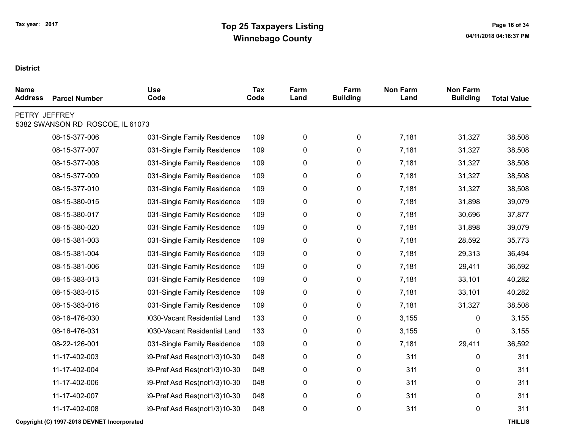| <b>Parcel Number</b> | <b>Use</b><br>Code           | Tax<br>Code                      | Farm<br>Land | Farm<br><b>Building</b> | <b>Non Farm</b><br>Land | <b>Non Farm</b><br><b>Building</b> | <b>Total Value</b> |
|----------------------|------------------------------|----------------------------------|--------------|-------------------------|-------------------------|------------------------------------|--------------------|
|                      |                              |                                  |              |                         |                         |                                    |                    |
| 08-15-377-006        | 031-Single Family Residence  | 109                              | 0            | 0                       | 7,181                   | 31,327                             | 38,508             |
| 08-15-377-007        | 031-Single Family Residence  | 109                              | 0            | 0                       | 7,181                   | 31,327                             | 38,508             |
| 08-15-377-008        | 031-Single Family Residence  | 109                              | 0            | 0                       | 7,181                   | 31,327                             | 38,508             |
| 08-15-377-009        | 031-Single Family Residence  | 109                              | 0            | 0                       | 7,181                   | 31,327                             | 38,508             |
| 08-15-377-010        | 031-Single Family Residence  | 109                              | 0            | 0                       | 7,181                   | 31,327                             | 38,508             |
| 08-15-380-015        | 031-Single Family Residence  | 109                              | 0            | 0                       | 7,181                   | 31,898                             | 39,079             |
| 08-15-380-017        | 031-Single Family Residence  | 109                              | 0            | 0                       | 7,181                   | 30,696                             | 37,877             |
| 08-15-380-020        | 031-Single Family Residence  | 109                              | 0            | 0                       | 7,181                   | 31,898                             | 39,079             |
| 08-15-381-003        | 031-Single Family Residence  | 109                              | 0            | 0                       | 7,181                   | 28,592                             | 35,773             |
| 08-15-381-004        | 031-Single Family Residence  | 109                              | 0            | 0                       | 7,181                   | 29,313                             | 36,494             |
| 08-15-381-006        | 031-Single Family Residence  | 109                              | 0            | 0                       | 7,181                   | 29,411                             | 36,592             |
| 08-15-383-013        | 031-Single Family Residence  | 109                              | $\pmb{0}$    | 0                       | 7,181                   | 33,101                             | 40,282             |
| 08-15-383-015        | 031-Single Family Residence  | 109                              | 0            | 0                       | 7,181                   | 33,101                             | 40,282             |
| 08-15-383-016        | 031-Single Family Residence  | 109                              | 0            | 0                       | 7,181                   | 31,327                             | 38,508             |
| 08-16-476-030        | 0030-Vacant Residential Land | 133                              | 0            | 0                       | 3,155                   | 0                                  | 3,155              |
| 08-16-476-031        | 0030-Vacant Residential Land | 133                              | 0            | 0                       | 3,155                   | 0                                  | 3,155              |
| 08-22-126-001        | 031-Single Family Residence  | 109                              | 0            | 0                       | 7,181                   | 29,411                             | 36,592             |
| 11-17-402-003        | 39-Pref Asd Res(not1/3)10-30 | 048                              | 0            | 0                       | 311                     | 0                                  | 311                |
| 11-17-402-004        | 39-Pref Asd Res(not1/3)10-30 | 048                              | 0            | 0                       | 311                     | 0                                  | 311                |
| 11-17-402-006        | 39-Pref Asd Res(not1/3)10-30 | 048                              | 0            | 0                       | 311                     | 0                                  | 311                |
| 11-17-402-007        | 39-Pref Asd Res(not1/3)10-30 | 048                              | 0            | 0                       | 311                     | 0                                  | 311                |
| 11-17-402-008        | 39-Pref Asd Res(not1/3)10-30 | 048                              | 0            | 0                       | 311                     | 0                                  | 311                |
|                      | PETRY JEFFREY                | 5382 SWANSON RD ROSCOE, IL 61073 |              |                         |                         |                                    |                    |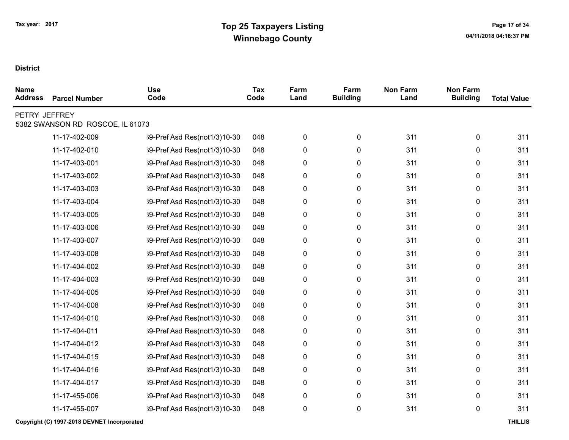| <b>Name</b><br><b>Address</b> | <b>Parcel Number</b>             | <b>Use</b><br>Code           | <b>Tax</b><br>Code | Farm<br>Land | Farm<br><b>Building</b> | <b>Non Farm</b><br>Land | <b>Non Farm</b><br><b>Building</b> | <b>Total Value</b> |
|-------------------------------|----------------------------------|------------------------------|--------------------|--------------|-------------------------|-------------------------|------------------------------------|--------------------|
| PETRY JEFFREY                 | 5382 SWANSON RD ROSCOE, IL 61073 |                              |                    |              |                         |                         |                                    |                    |
|                               | 11-17-402-009                    | 39-Pref Asd Res(not1/3)10-30 | 048                | 0            | 0                       | 311                     | 0                                  | 311                |
|                               | 11-17-402-010                    | 39-Pref Asd Res(not1/3)10-30 | 048                | 0            | 0                       | 311                     | 0                                  | 311                |
|                               | 11-17-403-001                    | 39-Pref Asd Res(not1/3)10-30 | 048                | 0            | 0                       | 311                     | 0                                  | 311                |
|                               | 11-17-403-002                    | 39-Pref Asd Res(not1/3)10-30 | 048                | 0            | 0                       | 311                     | 0                                  | 311                |
|                               | 11-17-403-003                    | 39-Pref Asd Res(not1/3)10-30 | 048                | 0            | 0                       | 311                     | 0                                  | 311                |
|                               | 11-17-403-004                    | 39-Pref Asd Res(not1/3)10-30 | 048                | 0            | 0                       | 311                     | 0                                  | 311                |
|                               | 11-17-403-005                    | 39-Pref Asd Res(not1/3)10-30 | 048                | 0            | 0                       | 311                     | 0                                  | 311                |
|                               | 11-17-403-006                    | 39-Pref Asd Res(not1/3)10-30 | 048                | 0            | 0                       | 311                     | 0                                  | 311                |
|                               | 11-17-403-007                    | 39-Pref Asd Res(not1/3)10-30 | 048                | 0            | 0                       | 311                     | 0                                  | 311                |
|                               | 11-17-403-008                    | 39-Pref Asd Res(not1/3)10-30 | 048                | 0            | 0                       | 311                     | 0                                  | 311                |
|                               | 11-17-404-002                    | 39-Pref Asd Res(not1/3)10-30 | 048                | 0            | 0                       | 311                     | 0                                  | 311                |
|                               | 11-17-404-003                    | 39-Pref Asd Res(not1/3)10-30 | 048                | 0            | 0                       | 311                     | 0                                  | 311                |
|                               | 11-17-404-005                    | 39-Pref Asd Res(not1/3)10-30 | 048                | 0            | 0                       | 311                     | 0                                  | 311                |
|                               | 11-17-404-008                    | 39-Pref Asd Res(not1/3)10-30 | 048                | $\pmb{0}$    | 0                       | 311                     | 0                                  | 311                |
|                               | 11-17-404-010                    | 39-Pref Asd Res(not1/3)10-30 | 048                | 0            | 0                       | 311                     | 0                                  | 311                |
|                               | 11-17-404-011                    | 39-Pref Asd Res(not1/3)10-30 | 048                | $\pmb{0}$    | 0                       | 311                     | 0                                  | 311                |
|                               | 11-17-404-012                    | 39-Pref Asd Res(not1/3)10-30 | 048                | 0            | 0                       | 311                     | 0                                  | 311                |
|                               | 11-17-404-015                    | 39-Pref Asd Res(not1/3)10-30 | 048                | 0            | 0                       | 311                     | 0                                  | 311                |
|                               | 11-17-404-016                    | 39-Pref Asd Res(not1/3)10-30 | 048                | 0            | 0                       | 311                     | 0                                  | 311                |
|                               | 11-17-404-017                    | 39-Pref Asd Res(not1/3)10-30 | 048                | 0            | 0                       | 311                     | 0                                  | 311                |
|                               | 11-17-455-006                    | 39-Pref Asd Res(not1/3)10-30 | 048                | $\pmb{0}$    | 0                       | 311                     | 0                                  | 311                |
|                               | 11-17-455-007                    | 39-Pref Asd Res(not1/3)10-30 | 048                | 0            | 0                       | 311                     | 0                                  | 311                |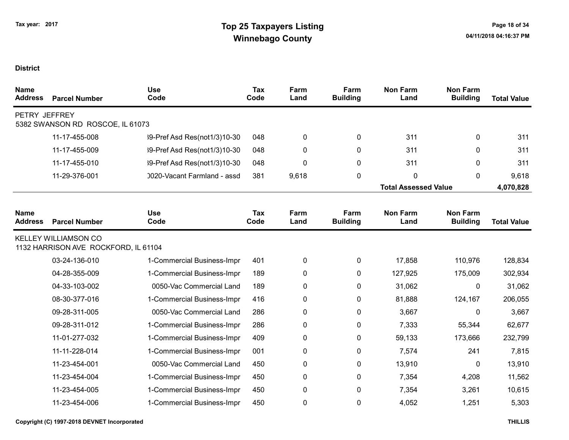| <b>Name</b><br><b>Address</b> | <b>Parcel Number</b>                                                | <b>Use</b><br>Code           | Tax<br>Code | Farm<br>Land | Farm<br><b>Building</b> | <b>Non Farm</b><br>Land     | <b>Non Farm</b><br><b>Building</b> | <b>Total Value</b> |
|-------------------------------|---------------------------------------------------------------------|------------------------------|-------------|--------------|-------------------------|-----------------------------|------------------------------------|--------------------|
| PETRY JEFFREY                 | 5382 SWANSON RD ROSCOE, IL 61073                                    |                              |             |              |                         |                             |                                    |                    |
|                               | 11-17-455-008                                                       | 39-Pref Asd Res(not1/3)10-30 | 048         | 0            | $\mathbf{0}$            | 311                         | 0                                  | 311                |
|                               | 11-17-455-009                                                       | 39-Pref Asd Res(not1/3)10-30 | 048         | 0            | 0                       | 311                         | 0                                  | 311                |
|                               | 11-17-455-010                                                       | 39-Pref Asd Res(not1/3)10-30 | 048         | 0            | 0                       | 311                         | 0                                  | 311                |
|                               | 11-29-376-001                                                       | 0020-Vacant Farmland - assd  | 381         | 9,618        | 0                       | 0                           | $\mathbf{0}$                       | 9,618              |
|                               |                                                                     |                              |             |              |                         | <b>Total Assessed Value</b> |                                    | 4,070,828          |
| <b>Name</b>                   |                                                                     | <b>Use</b>                   | Tax         | Farm         | Farm                    | <b>Non Farm</b>             | <b>Non Farm</b>                    |                    |
| <b>Address</b>                | <b>Parcel Number</b>                                                | Code                         | Code        | Land         | <b>Building</b>         | Land                        | <b>Building</b>                    | <b>Total Value</b> |
|                               | <b>KELLEY WILLIAMSON CO</b><br>1132 HARRISON AVE ROCKFORD, IL 61104 |                              |             |              |                         |                             |                                    |                    |
|                               | 03-24-136-010                                                       | 1-Commercial Business-Impr   | 401         | 0            | 0                       | 17,858                      | 110,976                            | 128,834            |
|                               | 04-28-355-009                                                       | 1-Commercial Business-Impr   | 189         | 0            | 0                       | 127,925                     | 175,009                            | 302,934            |
|                               | 04-33-103-002                                                       | 0050-Vac Commercial Land     | 189         | 0            | 0                       | 31,062                      | $\mathbf 0$                        | 31,062             |
|                               | 08-30-377-016                                                       | 1-Commercial Business-Impr   | 416         | 0            | 0                       | 81,888                      | 124,167                            | 206,055            |
|                               | 09-28-311-005                                                       | 0050-Vac Commercial Land     | 286         | 0            | 0                       | 3,667                       | $\mathbf 0$                        | 3,667              |
|                               | 09-28-311-012                                                       | 1-Commercial Business-Impr   | 286         | 0            | 0                       | 7,333                       | 55,344                             | 62,677             |
|                               | 11-01-277-032                                                       | 1-Commercial Business-Impr   | 409         | 0            | 0                       | 59,133                      | 173,666                            | 232,799            |
|                               | 11-11-228-014                                                       | 1-Commercial Business-Impr   | 001         | 0            | 0                       | 7,574                       | 241                                | 7,815              |
|                               | 11-23-454-001                                                       | 0050-Vac Commercial Land     | 450         | 0            | 0                       | 13,910                      | 0                                  | 13,910             |
|                               | 11-23-454-004                                                       | 1-Commercial Business-Impr   | 450         | 0            | 0                       | 7,354                       | 4,208                              | 11,562             |
|                               | 11-23-454-005                                                       | 1-Commercial Business-Impr   | 450         | 0            | $\mathbf 0$             | 7,354                       | 3,261                              | 10,615             |
|                               | 11-23-454-006                                                       | 1-Commercial Business-Impr   | 450         | 0            | 0                       | 4,052                       | 1,251                              | 5,303              |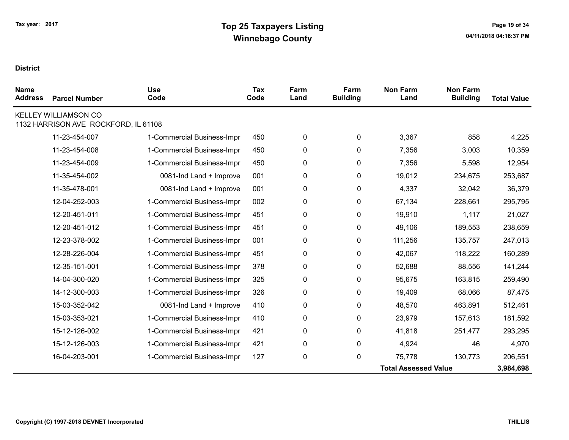| <b>Name</b><br><b>Address</b> | <b>Parcel Number</b>                                                | <b>Use</b><br>Code         | Tax<br>Code | Farm<br>Land | Farm<br><b>Building</b> | <b>Non Farm</b><br>Land     | <b>Non Farm</b><br><b>Building</b> | <b>Total Value</b> |
|-------------------------------|---------------------------------------------------------------------|----------------------------|-------------|--------------|-------------------------|-----------------------------|------------------------------------|--------------------|
|                               | <b>KELLEY WILLIAMSON CO</b><br>1132 HARRISON AVE ROCKFORD, IL 61108 |                            |             |              |                         |                             |                                    |                    |
|                               |                                                                     |                            |             |              |                         |                             |                                    |                    |
|                               | 11-23-454-007                                                       | 1-Commercial Business-Impr | 450         | 0            | 0                       | 3,367                       | 858                                | 4,225              |
|                               | 11-23-454-008                                                       | 1-Commercial Business-Impr | 450         | 0            | 0                       | 7,356                       | 3,003                              | 10,359             |
|                               | 11-23-454-009                                                       | 1-Commercial Business-Impr | 450         | 0            | 0                       | 7,356                       | 5,598                              | 12,954             |
|                               | 11-35-454-002                                                       | 0081-Ind Land + Improve    | 001         | 0            | 0                       | 19,012                      | 234,675                            | 253,687            |
|                               | 11-35-478-001                                                       | 0081-Ind Land + Improve    | 001         | $\pmb{0}$    | 0                       | 4,337                       | 32,042                             | 36,379             |
|                               | 12-04-252-003                                                       | 1-Commercial Business-Impr | 002         | 0            | 0                       | 67,134                      | 228,661                            | 295,795            |
|                               | 12-20-451-011                                                       | 1-Commercial Business-Impr | 451         | 0            | 0                       | 19,910                      | 1,117                              | 21,027             |
|                               | 12-20-451-012                                                       | 1-Commercial Business-Impr | 451         | 0            | 0                       | 49,106                      | 189,553                            | 238,659            |
|                               | 12-23-378-002                                                       | 1-Commercial Business-Impr | 001         | 0            | 0                       | 111,256                     | 135,757                            | 247,013            |
|                               | 12-28-226-004                                                       | 1-Commercial Business-Impr | 451         | $\pmb{0}$    | 0                       | 42,067                      | 118,222                            | 160,289            |
|                               | 12-35-151-001                                                       | 1-Commercial Business-Impr | 378         | 0            | 0                       | 52,688                      | 88,556                             | 141,244            |
|                               | 14-04-300-020                                                       | 1-Commercial Business-Impr | 325         | 0            | 0                       | 95,675                      | 163,815                            | 259,490            |
|                               | 14-12-300-003                                                       | 1-Commercial Business-Impr | 326         | 0            | 0                       | 19,409                      | 68,066                             | 87,475             |
|                               | 15-03-352-042                                                       | 0081-Ind Land + Improve    | 410         | $\pmb{0}$    | 0                       | 48,570                      | 463,891                            | 512,461            |
|                               | 15-03-353-021                                                       | 1-Commercial Business-Impr | 410         | 0            | 0                       | 23,979                      | 157,613                            | 181,592            |
|                               | 15-12-126-002                                                       | 1-Commercial Business-Impr | 421         | 0            | 0                       | 41,818                      | 251,477                            | 293,295            |
|                               | 15-12-126-003                                                       | 1-Commercial Business-Impr | 421         | 0            | 0                       | 4,924                       | 46                                 | 4,970              |
|                               | 16-04-203-001                                                       | 1-Commercial Business-Impr | 127         | 0            | 0                       | 75,778                      | 130,773                            | 206,551            |
|                               |                                                                     |                            |             |              |                         | <b>Total Assessed Value</b> |                                    | 3,984,698          |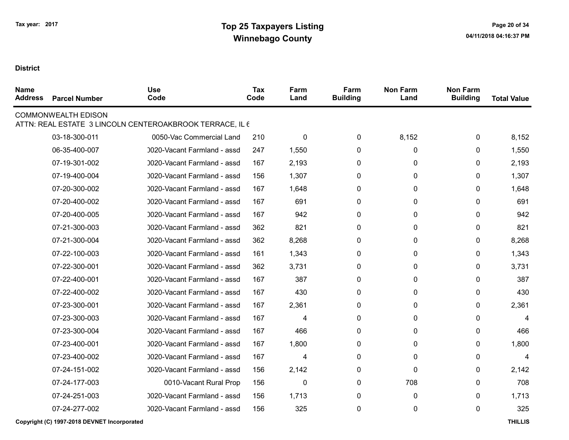| <b>Name</b><br><b>Address</b> | <b>Parcel Number</b>       | <b>Use</b><br>Code                                       | Tax<br>Code | Farm<br>Land | Farm<br><b>Building</b> | <b>Non Farm</b><br>Land | <b>Non Farm</b><br><b>Building</b> | <b>Total Value</b> |
|-------------------------------|----------------------------|----------------------------------------------------------|-------------|--------------|-------------------------|-------------------------|------------------------------------|--------------------|
|                               | <b>COMMONWEALTH EDISON</b> | ATTN: REAL ESTATE 3 LINCOLN CENTEROAKBROOK TERRACE, IL 6 |             |              |                         |                         |                                    |                    |
|                               | 03-18-300-011              | 0050-Vac Commercial Land                                 | 210         | 0            | 0                       | 8,152                   | 0                                  | 8,152              |
|                               | 06-35-400-007              | 0020-Vacant Farmland - assd                              | 247         | 1,550        | $\mathbf{0}$            | 0                       | $\mathbf{0}$                       | 1,550              |
|                               | 07-19-301-002              | 0020-Vacant Farmland - assd                              | 167         | 2,193        | 0                       | 0                       | 0                                  | 2,193              |
|                               | 07-19-400-004              | 0020-Vacant Farmland - assd                              | 156         | 1,307        | $\mathbf{0}$            | $\mathbf{0}$            | $\mathbf{0}$                       | 1,307              |
|                               | 07-20-300-002              | 0020-Vacant Farmland - assd                              | 167         | 1,648        | $\mathbf{0}$            | $\mathbf{0}$            | $\mathbf{0}$                       | 1,648              |
|                               | 07-20-400-002              | 0020-Vacant Farmland - assd                              | 167         | 691          | $\mathbf{0}$            | $\mathbf{0}$            | $\Omega$                           | 691                |
|                               | 07-20-400-005              | 0020-Vacant Farmland - assd                              | 167         | 942          | $\Omega$                | $\mathbf{0}$            | $\Omega$                           | 942                |
|                               | 07-21-300-003              | 0020-Vacant Farmland - assd                              | 362         | 821          | $\mathbf{0}$            | $\mathbf{0}$            | $\mathbf{0}$                       | 821                |
|                               | 07-21-300-004              | 0020-Vacant Farmland - assd                              | 362         | 8,268        | $\Omega$                | $\mathbf{0}$            | $\Omega$                           | 8,268              |
|                               | 07-22-100-003              | 0020-Vacant Farmland - assd                              | 161         | 1,343        | 0                       | 0                       | $\mathbf{0}$                       | 1,343              |
|                               | 07-22-300-001              | 0020-Vacant Farmland - assd                              | 362         | 3,731        | $\mathbf{0}$            | 0                       | $\mathbf{0}$                       | 3,731              |
|                               | 07-22-400-001              | 0020-Vacant Farmland - assd                              | 167         | 387          | 0                       | 0                       | 0                                  | 387                |
|                               | 07-22-400-002              | 0020-Vacant Farmland - assd                              | 167         | 430          | $\mathbf 0$             | $\mathbf 0$             | $\mathbf{0}$                       | 430                |
|                               | 07-23-300-001              | 0020-Vacant Farmland - assd                              | 167         | 2,361        | $\mathbf{0}$            | $\mathbf{0}$            | $\mathbf{0}$                       | 2,361              |
|                               | 07-23-300-003              | 0020-Vacant Farmland - assd                              | 167         | 4            | $\mathbf{0}$            | 0                       | $\mathbf{0}$                       | 4                  |
|                               | 07-23-300-004              | 0020-Vacant Farmland - assd                              | 167         | 466          | $\mathbf{0}$            | 0                       | $\mathbf{0}$                       | 466                |
|                               | 07-23-400-001              | 0020-Vacant Farmland - assd                              | 167         | 1,800        | $\mathbf{0}$            | $\mathbf{0}$            | $\mathbf{0}$                       | 1,800              |
|                               | 07-23-400-002              | 0020-Vacant Farmland - assd                              | 167         | 4            | $\mathbf{0}$            | $\mathbf{0}$            | $\mathbf{0}$                       | 4                  |
|                               | 07-24-151-002              | 0020-Vacant Farmland - assd                              | 156         | 2,142        | 0                       | $\mathbf{0}$            | 0                                  | 2,142              |
|                               | 07-24-177-003              | 0010-Vacant Rural Prop                                   | 156         | $\mathbf{0}$ | $\mathbf 0$             | 708                     | $\Omega$                           | 708                |
|                               | 07-24-251-003              | 0020-Vacant Farmland - assd                              | 156         | 1,713        | $\mathbf{0}$            | $\mathbf{0}$            | $\Omega$                           | 1,713              |
|                               | 07-24-277-002              | 0020-Vacant Farmland - assd                              | 156         | 325          | $\mathbf 0$             | 0                       | $\mathbf{0}$                       | 325                |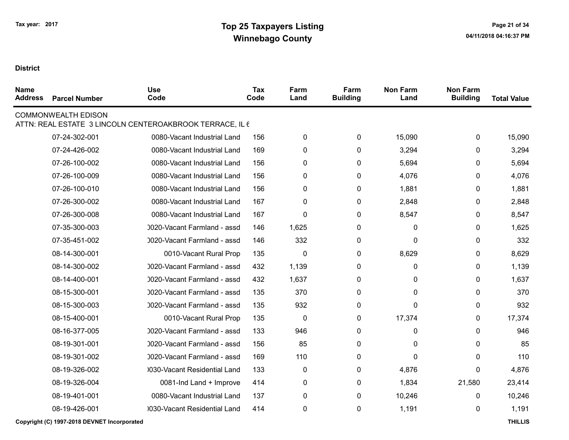| <b>Name</b><br><b>Address</b> | <b>Parcel Number</b>                        | <b>Use</b><br>Code                                       | <b>Tax</b><br>Code | Farm<br>Land | Farm<br><b>Building</b> | <b>Non Farm</b><br>Land | <b>Non Farm</b><br><b>Building</b> | <b>Total Value</b> |
|-------------------------------|---------------------------------------------|----------------------------------------------------------|--------------------|--------------|-------------------------|-------------------------|------------------------------------|--------------------|
|                               | <b>COMMONWEALTH EDISON</b>                  | ATTN: REAL ESTATE 3 LINCOLN CENTEROAKBROOK TERRACE, IL 6 |                    |              |                         |                         |                                    |                    |
|                               | 07-24-302-001                               | 0080-Vacant Industrial Land                              | 156                | $\pmb{0}$    | 0                       | 15,090                  | 0                                  | 15,090             |
|                               | 07-24-426-002                               | 0080-Vacant Industrial Land                              | 169                | 0            | 0                       | 3,294                   | 0                                  | 3,294              |
|                               | 07-26-100-002                               | 0080-Vacant Industrial Land                              | 156                | 0            | 0                       | 5,694                   | 0                                  | 5,694              |
|                               | 07-26-100-009                               | 0080-Vacant Industrial Land                              | 156                | $\pmb{0}$    | 0                       | 4,076                   | 0                                  | 4,076              |
|                               | 07-26-100-010                               | 0080-Vacant Industrial Land                              | 156                | 0            | 0                       | 1,881                   | 0                                  | 1,881              |
|                               | 07-26-300-002                               | 0080-Vacant Industrial Land                              | 167                | $\pmb{0}$    | $\pmb{0}$               | 2,848                   | 0                                  | 2,848              |
|                               | 07-26-300-008                               | 0080-Vacant Industrial Land                              | 167                | $\mathbf{0}$ | 0                       | 8,547                   | 0                                  | 8,547              |
|                               | 07-35-300-003                               | 0020-Vacant Farmland - assd                              | 146                | 1,625        | 0                       | 0                       | 0                                  | 1,625              |
|                               | 07-35-451-002                               | 0020-Vacant Farmland - assd                              | 146                | 332          | 0                       | 0                       | 0                                  | 332                |
|                               | 08-14-300-001                               | 0010-Vacant Rural Prop                                   | 135                | $\mathbf 0$  | 0                       | 8,629                   | 0                                  | 8,629              |
|                               | 08-14-300-002                               | 0020-Vacant Farmland - assd                              | 432                | 1,139        | 0                       | 0                       | 0                                  | 1,139              |
|                               | 08-14-400-001                               | 0020-Vacant Farmland - assd                              | 432                | 1,637        | 0                       | 0                       | 0                                  | 1,637              |
|                               | 08-15-300-001                               | 0020-Vacant Farmland - assd                              | 135                | 370          | 0                       | 0                       | 0                                  | 370                |
|                               | 08-15-300-003                               | 0020-Vacant Farmland - assd                              | 135                | 932          | 0                       | 0                       | 0                                  | 932                |
|                               | 08-15-400-001                               | 0010-Vacant Rural Prop                                   | 135                | 0            | $\pmb{0}$               | 17,374                  | 0                                  | 17,374             |
|                               | 08-16-377-005                               | 0020-Vacant Farmland - assd                              | 133                | 946          | 0                       | 0                       | 0                                  | 946                |
|                               | 08-19-301-001                               | 0020-Vacant Farmland - assd                              | 156                | 85           | 0                       | 0                       | 0                                  | 85                 |
|                               | 08-19-301-002                               | 0020-Vacant Farmland - assd                              | 169                | 110          | 0                       | 0                       | 0                                  | 110                |
|                               | 08-19-326-002                               | 0030-Vacant Residential Land                             | 133                | 0            | 0                       | 4,876                   | 0                                  | 4,876              |
|                               | 08-19-326-004                               | 0081-Ind Land + Improve                                  | 414                | $\pmb{0}$    | $\pmb{0}$               | 1,834                   | 21,580                             | 23,414             |
|                               | 08-19-401-001                               | 0080-Vacant Industrial Land                              | 137                | $\pmb{0}$    | 0                       | 10,246                  | 0                                  | 10,246             |
|                               | 08-19-426-001                               | 0030-Vacant Residential Land                             | 414                | 0            | 0                       | 1,191                   | 0                                  | 1,191              |
|                               | Copyright (C) 1997-2018 DEVNET Incorporated |                                                          |                    |              |                         |                         |                                    | <b>THILLIS</b>     |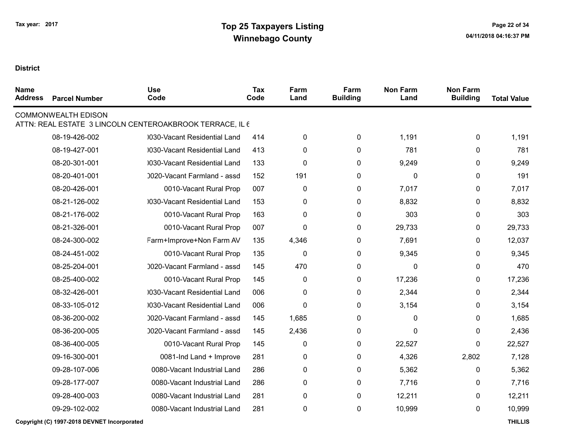| <b>Name</b><br><b>Address</b> | <b>Parcel Number</b>       | <b>Use</b><br>Code                                       | Tax<br>Code | Farm<br>Land | Farm<br><b>Building</b> | <b>Non Farm</b><br>Land | <b>Non Farm</b><br><b>Building</b> | <b>Total Value</b> |
|-------------------------------|----------------------------|----------------------------------------------------------|-------------|--------------|-------------------------|-------------------------|------------------------------------|--------------------|
|                               | <b>COMMONWEALTH EDISON</b> | ATTN: REAL ESTATE 3 LINCOLN CENTEROAKBROOK TERRACE, IL 6 |             |              |                         |                         |                                    |                    |
|                               | 08-19-426-002              | 0030-Vacant Residential Land                             | 414         | 0            | 0                       | 1,191                   | 0                                  | 1,191              |
|                               | 08-19-427-001              | 0030-Vacant Residential Land                             | 413         | 0            | 0                       | 781                     | 0                                  | 781                |
|                               | 08-20-301-001              | 0030-Vacant Residential Land                             | 133         | $\pmb{0}$    | 0                       | 9,249                   | 0                                  | 9,249              |
|                               | 08-20-401-001              | 0020-Vacant Farmland - assd                              | 152         | 191          | 0                       | 0                       | 0                                  | 191                |
|                               | 08-20-426-001              | 0010-Vacant Rural Prop                                   | 007         | 0            | 0                       | 7,017                   | 0                                  | 7,017              |
|                               | 08-21-126-002              | 0030-Vacant Residential Land                             | 153         | 0            | 0                       | 8,832                   | 0                                  | 8,832              |
|                               | 08-21-176-002              | 0010-Vacant Rural Prop                                   | 163         | 0            | 0                       | 303                     | 0                                  | 303                |
|                               | 08-21-326-001              | 0010-Vacant Rural Prop                                   | 007         | 0            | $\pmb{0}$               | 29,733                  | 0                                  | 29,733             |
|                               | 08-24-300-002              | Farm+Improve+Non Farm AV                                 | 135         | 4,346        | 0                       | 7,691                   | 0                                  | 12,037             |
|                               | 08-24-451-002              | 0010-Vacant Rural Prop                                   | 135         | 0            | 0                       | 9,345                   | 0                                  | 9,345              |
|                               | 08-25-204-001              | 0020-Vacant Farmland - assd                              | 145         | 470          | 0                       | 0                       | 0                                  | 470                |
|                               | 08-25-400-002              | 0010-Vacant Rural Prop                                   | 145         | 0            | 0                       | 17,236                  | 0                                  | 17,236             |
|                               | 08-32-426-001              | 0030-Vacant Residential Land                             | 006         | 0            | 0                       | 2,344                   | 0                                  | 2,344              |
|                               | 08-33-105-012              | 0030-Vacant Residential Land                             | 006         | 0            | 0                       | 3,154                   | 0                                  | 3,154              |
|                               | 08-36-200-002              | 0020-Vacant Farmland - assd                              | 145         | 1,685        | 0                       | 0                       | 0                                  | 1,685              |
|                               | 08-36-200-005              | 0020-Vacant Farmland - assd                              | 145         | 2,436        | 0                       | 0                       | 0                                  | 2,436              |
|                               | 08-36-400-005              | 0010-Vacant Rural Prop                                   | 145         | 0            | 0                       | 22,527                  | 0                                  | 22,527             |
|                               | 09-16-300-001              | 0081-Ind Land + Improve                                  | 281         | 0            | $\pmb{0}$               | 4,326                   | 2,802                              | 7,128              |
|                               | 09-28-107-006              | 0080-Vacant Industrial Land                              | 286         | $\pmb{0}$    | 0                       | 5,362                   | 0                                  | 5,362              |
|                               | 09-28-177-007              | 0080-Vacant Industrial Land                              | 286         | 0            | $\mathbf 0$             | 7,716                   | 0                                  | 7,716              |
|                               | 09-28-400-003              | 0080-Vacant Industrial Land                              | 281         | $\pmb{0}$    | 0                       | 12,211                  | 0                                  | 12,211             |
|                               | 09-29-102-002              | 0080-Vacant Industrial Land                              | 281         | $\pmb{0}$    | 0                       | 10,999                  | 0                                  | 10,999             |
|                               |                            |                                                          |             |              |                         |                         |                                    |                    |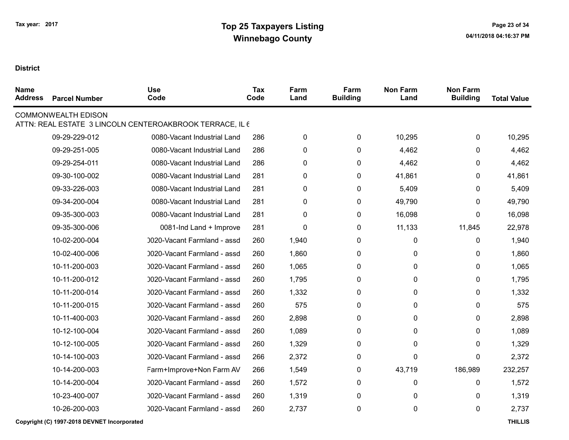| <b>Name</b><br><b>Address</b> | <b>Parcel Number</b>       | <b>Use</b><br>Code                                       | <b>Tax</b><br>Code | Farm<br>Land | Farm<br><b>Building</b> | <b>Non Farm</b><br>Land | <b>Non Farm</b><br><b>Building</b> | <b>Total Value</b> |
|-------------------------------|----------------------------|----------------------------------------------------------|--------------------|--------------|-------------------------|-------------------------|------------------------------------|--------------------|
|                               | <b>COMMONWEALTH EDISON</b> | ATTN: REAL ESTATE 3 LINCOLN CENTEROAKBROOK TERRACE, IL 6 |                    |              |                         |                         |                                    |                    |
|                               | 09-29-229-012              | 0080-Vacant Industrial Land                              | 286                | $\pmb{0}$    | $\mathbf 0$             | 10,295                  | 0                                  | 10,295             |
|                               | 09-29-251-005              | 0080-Vacant Industrial Land                              | 286                | 0            | 0                       | 4,462                   | 0                                  | 4,462              |
|                               | 09-29-254-011              | 0080-Vacant Industrial Land                              | 286                | $\mathbf 0$  | 0                       | 4,462                   | 0                                  | 4,462              |
|                               | 09-30-100-002              | 0080-Vacant Industrial Land                              | 281                | 0            | 0                       | 41,861                  | 0                                  | 41,861             |
|                               | 09-33-226-003              | 0080-Vacant Industrial Land                              | 281                | $\pmb{0}$    | $\pmb{0}$               | 5,409                   | 0                                  | 5,409              |
|                               | 09-34-200-004              | 0080-Vacant Industrial Land                              | 281                | 0            | 0                       | 49,790                  | 0                                  | 49,790             |
|                               | 09-35-300-003              | 0080-Vacant Industrial Land                              | 281                | 0            | 0                       | 16,098                  | 0                                  | 16,098             |
|                               | 09-35-300-006              | 0081-Ind Land + Improve                                  | 281                | 0            | 0                       | 11,133                  | 11,845                             | 22,978             |
|                               | 10-02-200-004              | 0020-Vacant Farmland - assd                              | 260                | 1,940        | $\mathbf{0}$            | 0                       | 0                                  | 1,940              |
|                               | 10-02-400-006              | 0020-Vacant Farmland - assd                              | 260                | 1,860        | 0                       | 0                       | 0                                  | 1,860              |
|                               | 10-11-200-003              | 0020-Vacant Farmland - assd                              | 260                | 1,065        | 0                       | 0                       | $\mathbf{0}$                       | 1,065              |
|                               | 10-11-200-012              | 0020-Vacant Farmland - assd                              | 260                | 1,795        | 0                       | 0                       | 0                                  | 1,795              |
|                               | 10-11-200-014              | 0020-Vacant Farmland - assd                              | 260                | 1,332        | 0                       | 0                       | $\mathbf{0}$                       | 1,332              |
|                               | 10-11-200-015              | 0020-Vacant Farmland - assd                              | 260                | 575          | 0                       | 0                       | 0                                  | 575                |
|                               | 10-11-400-003              | 0020-Vacant Farmland - assd                              | 260                | 2,898        | 0                       | 0                       | 0                                  | 2,898              |
|                               | 10-12-100-004              | 0020-Vacant Farmland - assd                              | 260                | 1,089        | 0                       | 0                       | 0                                  | 1,089              |
|                               | 10-12-100-005              | 0020-Vacant Farmland - assd                              | 260                | 1,329        | $\mathbf{0}$            | 0                       | $\mathbf{0}$                       | 1,329              |
|                               | 10-14-100-003              | 0020-Vacant Farmland - assd                              | 266                | 2,372        | 0                       | 0                       | 0                                  | 2,372              |
|                               | 10-14-200-003              | Farm+Improve+Non Farm AV                                 | 266                | 1,549        | 0                       | 43,719                  | 186,989                            | 232,257            |
|                               | 10-14-200-004              | 0020-Vacant Farmland - assd                              | 260                | 1,572        | 0                       | 0                       | 0                                  | 1,572              |
|                               | 10-23-400-007              | 0020-Vacant Farmland - assd                              | 260                | 1,319        | 0                       | 0                       | $\mathbf{0}$                       | 1,319              |
|                               | 10-26-200-003              | 0020-Vacant Farmland - assd                              | 260                | 2,737        | 0                       | 0                       | 0                                  | 2,737              |
|                               |                            |                                                          |                    |              |                         |                         |                                    |                    |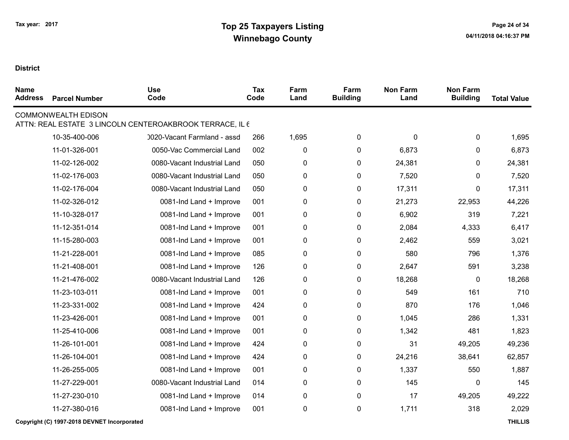## **District**

| <b>Name</b><br><b>Address</b> | <b>Parcel Number</b>       | <b>Use</b><br>Code                                       | Tax<br>Code | Farm<br>Land | Farm<br><b>Building</b> | <b>Non Farm</b><br>Land | <b>Non Farm</b><br><b>Building</b> | <b>Total Value</b> |
|-------------------------------|----------------------------|----------------------------------------------------------|-------------|--------------|-------------------------|-------------------------|------------------------------------|--------------------|
|                               | <b>COMMONWEALTH EDISON</b> | ATTN: REAL ESTATE 3 LINCOLN CENTEROAKBROOK TERRACE, IL 6 |             |              |                         |                         |                                    |                    |
|                               | 10-35-400-006              | 0020-Vacant Farmland - assd                              | 266         | 1,695        | 0                       | 0                       | $\mathbf 0$                        | 1,695              |
|                               | 11-01-326-001              | 0050-Vac Commercial Land                                 | 002         | $\pmb{0}$    | $\mathbf 0$             | 6,873                   | 0                                  | 6,873              |
|                               | 11-02-126-002              | 0080-Vacant Industrial Land                              | 050         | $\pmb{0}$    | 0                       | 24,381                  | 0                                  | 24,381             |
|                               | 11-02-176-003              | 0080-Vacant Industrial Land                              | 050         | $\pmb{0}$    | 0                       | 7,520                   | 0                                  | 7,520              |
|                               | 11-02-176-004              | 0080-Vacant Industrial Land                              | 050         | $\pmb{0}$    | 0                       | 17,311                  | 0                                  | 17,311             |
|                               | 11-02-326-012              | 0081-Ind Land + Improve                                  | 001         | 0            | 0                       | 21,273                  | 22,953                             | 44,226             |
|                               | 11-10-328-017              | 0081-Ind Land + Improve                                  | 001         | 0            | 0                       | 6,902                   | 319                                | 7,221              |
|                               | 11-12-351-014              | 0081-Ind Land + Improve                                  | 001         | 0            | 0                       | 2,084                   | 4,333                              | 6,417              |
|                               | 11-15-280-003              | 0081-Ind Land + Improve                                  | 001         | $\pmb{0}$    | $\pmb{0}$               | 2,462                   | 559                                | 3,021              |
|                               | 11-21-228-001              | 0081-Ind Land + Improve                                  | 085         | $\pmb{0}$    | $\pmb{0}$               | 580                     | 796                                | 1,376              |
|                               | 11-21-408-001              | 0081-Ind Land + Improve                                  | 126         | $\pmb{0}$    | $\pmb{0}$               | 2,647                   | 591                                | 3,238              |
|                               | 11-21-476-002              | 0080-Vacant Industrial Land                              | 126         | $\pmb{0}$    | 0                       | 18,268                  | 0                                  | 18,268             |
|                               | 11-23-103-011              | 0081-Ind Land + Improve                                  | 001         | $\pmb{0}$    | 0                       | 549                     | 161                                | 710                |
|                               | 11-23-331-002              | 0081-Ind Land + Improve                                  | 424         | $\pmb{0}$    | $\pmb{0}$               | 870                     | 176                                | 1,046              |
|                               | 11-23-426-001              | 0081-Ind Land + Improve                                  | 001         | 0            | 0                       | 1,045                   | 286                                | 1,331              |
|                               | 11-25-410-006              | 0081-Ind Land + Improve                                  | 001         | 0            | 0                       | 1,342                   | 481                                | 1,823              |
|                               | 11-26-101-001              | 0081-Ind Land + Improve                                  | 424         | 0            | 0                       | 31                      | 49,205                             | 49,236             |
|                               | 11-26-104-001              | 0081-Ind Land + Improve                                  | 424         | $\pmb{0}$    | 0                       | 24,216                  | 38,641                             | 62,857             |
|                               | 11-26-255-005              | 0081-Ind Land + Improve                                  | 001         | $\pmb{0}$    | $\pmb{0}$               | 1,337                   | 550                                | 1,887              |
|                               | 11-27-229-001              | 0080-Vacant Industrial Land                              | 014         | 0            | 0                       | 145                     | 0                                  | 145                |
|                               | 11-27-230-010              | 0081-Ind Land + Improve                                  | 014         | $\pmb{0}$    | $\pmb{0}$               | 17                      | 49,205                             | 49,222             |
|                               | 11-27-380-016              | 0081-Ind Land + Improve                                  | 001         | $\pmb{0}$    | 0                       | 1,711                   | 318                                | 2,029              |
|                               |                            |                                                          |             |              |                         |                         |                                    |                    |

Copyright (C) 1997-2018 DEVNET Incorporated THILLIS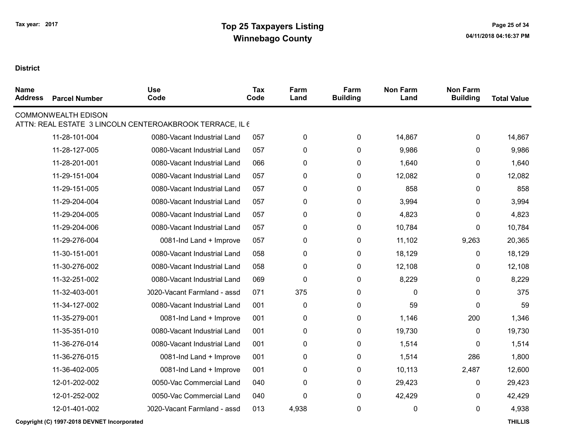| <b>Name</b><br><b>Address</b> | <b>Parcel Number</b>       | <b>Use</b><br>Code                                       | <b>Tax</b><br>Code | Farm<br>Land | Farm<br><b>Building</b> | <b>Non Farm</b><br>Land | <b>Non Farm</b><br><b>Building</b> | <b>Total Value</b> |
|-------------------------------|----------------------------|----------------------------------------------------------|--------------------|--------------|-------------------------|-------------------------|------------------------------------|--------------------|
|                               | <b>COMMONWEALTH EDISON</b> | ATTN: REAL ESTATE 3 LINCOLN CENTEROAKBROOK TERRACE, IL 6 |                    |              |                         |                         |                                    |                    |
|                               | 11-28-101-004              | 0080-Vacant Industrial Land                              | 057                | 0            | 0                       | 14,867                  | 0                                  | 14,867             |
|                               | 11-28-127-005              | 0080-Vacant Industrial Land                              | 057                | 0            | 0                       | 9,986                   | 0                                  | 9,986              |
|                               | 11-28-201-001              | 0080-Vacant Industrial Land                              | 066                | 0            | 0                       | 1,640                   | 0                                  | 1,640              |
|                               | 11-29-151-004              | 0080-Vacant Industrial Land                              | 057                | 0            | 0                       | 12,082                  | 0                                  | 12,082             |
|                               | 11-29-151-005              | 0080-Vacant Industrial Land                              | 057                | 0            | 0                       | 858                     | 0                                  | 858                |
|                               | 11-29-204-004              | 0080-Vacant Industrial Land                              | 057                | 0            | 0                       | 3,994                   | 0                                  | 3,994              |
|                               | 11-29-204-005              | 0080-Vacant Industrial Land                              | 057                | 0            | 0                       | 4,823                   | 0                                  | 4,823              |
|                               | 11-29-204-006              | 0080-Vacant Industrial Land                              | 057                | 0            | 0                       | 10,784                  | 0                                  | 10,784             |
|                               | 11-29-276-004              | 0081-Ind Land + Improve                                  | 057                | 0            | 0                       | 11,102                  | 9,263                              | 20,365             |
|                               | 11-30-151-001              | 0080-Vacant Industrial Land                              | 058                | 0            | 0                       | 18,129                  | 0                                  | 18,129             |
|                               | 11-30-276-002              | 0080-Vacant Industrial Land                              | 058                | 0            | 0                       | 12,108                  | 0                                  | 12,108             |
|                               | 11-32-251-002              | 0080-Vacant Industrial Land                              | 069                | 0            | 0                       | 8,229                   | 0                                  | 8,229              |
|                               | 11-32-403-001              | 0020-Vacant Farmland - assd                              | 071                | 375          | 0                       | 0                       | 0                                  | 375                |
|                               | 11-34-127-002              | 0080-Vacant Industrial Land                              | 001                | $\mathbf 0$  | 0                       | 59                      | 0                                  | 59                 |
|                               | 11-35-279-001              | 0081-Ind Land + Improve                                  | 001                | 0            | 0                       | 1,146                   | 200                                | 1,346              |
|                               | 11-35-351-010              | 0080-Vacant Industrial Land                              | 001                | 0            | $\mathbf 0$             | 19,730                  | 0                                  | 19,730             |
|                               | 11-36-276-014              | 0080-Vacant Industrial Land                              | 001                | 0            | 0                       | 1,514                   | 0                                  | 1,514              |
|                               | 11-36-276-015              | 0081-Ind Land + Improve                                  | 001                | 0            | 0                       | 1,514                   | 286                                | 1,800              |
|                               | 11-36-402-005              | 0081-Ind Land + Improve                                  | 001                | 0            | 0                       | 10,113                  | 2,487                              | 12,600             |
|                               | 12-01-202-002              | 0050-Vac Commercial Land                                 | 040                | 0            | 0                       | 29,423                  | 0                                  | 29,423             |
|                               | 12-01-252-002              | 0050-Vac Commercial Land                                 | 040                | 0            | 0                       | 42,429                  | 0                                  | 42,429             |
|                               | 12-01-401-002              | 0020-Vacant Farmland - assd                              | 013                | 4,938        | 0                       | 0                       | 0                                  | 4,938              |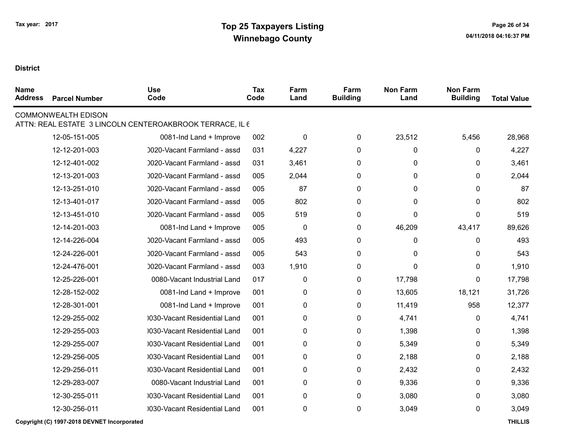| <b>Name</b><br><b>Address</b> | <b>Parcel Number</b>       | <b>Use</b><br>Code                                       | <b>Tax</b><br>Code | Farm<br>Land | Farm<br><b>Building</b> | <b>Non Farm</b><br>Land | <b>Non Farm</b><br><b>Building</b> | <b>Total Value</b> |
|-------------------------------|----------------------------|----------------------------------------------------------|--------------------|--------------|-------------------------|-------------------------|------------------------------------|--------------------|
|                               | <b>COMMONWEALTH EDISON</b> | ATTN: REAL ESTATE 3 LINCOLN CENTEROAKBROOK TERRACE, IL 6 |                    |              |                         |                         |                                    |                    |
|                               | 12-05-151-005              | 0081-Ind Land + Improve                                  | 002                | $\pmb{0}$    | 0                       | 23,512                  | 5,456                              | 28,968             |
|                               | 12-12-201-003              | 0020-Vacant Farmland - assd                              | 031                | 4,227        | 0                       | 0                       | 0                                  | 4,227              |
|                               | 12-12-401-002              | 0020-Vacant Farmland - assd                              | 031                | 3,461        | 0                       | 0                       | 0                                  | 3,461              |
|                               | 12-13-201-003              | 0020-Vacant Farmland - assd                              | 005                | 2,044        | 0                       | 0                       | 0                                  | 2,044              |
|                               | 12-13-251-010              | 0020-Vacant Farmland - assd                              | 005                | 87           | 0                       | 0                       | 0                                  | 87                 |
|                               | 12-13-401-017              | 0020-Vacant Farmland - assd                              | 005                | 802          | 0                       | 0                       | 0                                  | 802                |
|                               | 12-13-451-010              | 0020-Vacant Farmland - assd                              | 005                | 519          | 0                       | 0                       | 0                                  | 519                |
|                               | 12-14-201-003              | 0081-Ind Land + Improve                                  | 005                | $\pmb{0}$    | 0                       | 46,209                  | 43,417                             | 89,626             |
|                               | 12-14-226-004              | 0020-Vacant Farmland - assd                              | 005                | 493          | 0                       | 0                       | 0                                  | 493                |
|                               | 12-24-226-001              | 0020-Vacant Farmland - assd                              | 005                | 543          | 0                       | 0                       | 0                                  | 543                |
|                               | 12-24-476-001              | 0020-Vacant Farmland - assd                              | 003                | 1,910        | 0                       | $\Omega$                | $\mathbf{0}$                       | 1,910              |
|                               | 12-25-226-001              | 0080-Vacant Industrial Land                              | 017                | $\pmb{0}$    | 0                       | 17,798                  | $\mathbf 0$                        | 17,798             |
|                               | 12-28-152-002              | 0081-Ind Land + Improve                                  | 001                | 0            | 0                       | 13,605                  | 18,121                             | 31,726             |
|                               | 12-28-301-001              | 0081-Ind Land + Improve                                  | 001                | 0            | 0                       | 11,419                  | 958                                | 12,377             |
|                               | 12-29-255-002              | 0030-Vacant Residential Land                             | 001                | 0            | 0                       | 4,741                   | 0                                  | 4,741              |
|                               | 12-29-255-003              | 0030-Vacant Residential Land                             | 001                | 0            | 0                       | 1,398                   | 0                                  | 1,398              |
|                               | 12-29-255-007              | 0030-Vacant Residential Land                             | 001                | 0            | 0                       | 5,349                   | 0                                  | 5,349              |
|                               | 12-29-256-005              | 0030-Vacant Residential Land                             | 001                | 0            | 0                       | 2,188                   | 0                                  | 2,188              |
|                               | 12-29-256-011              | 0030-Vacant Residential Land                             | 001                | 0            | 0                       | 2,432                   | 0                                  | 2,432              |
|                               | 12-29-283-007              | 0080-Vacant Industrial Land                              | 001                | 0            | 0                       | 9,336                   | $\mathbf{0}$                       | 9,336              |
|                               | 12-30-255-011              | 0030-Vacant Residential Land                             | 001                | 0            | 0                       | 3,080                   | 0                                  | 3,080              |
|                               | 12-30-256-011              | 0030-Vacant Residential Land                             | 001                | 0            | 0                       | 3,049                   | 0                                  | 3,049              |
|                               |                            |                                                          |                    |              |                         |                         |                                    |                    |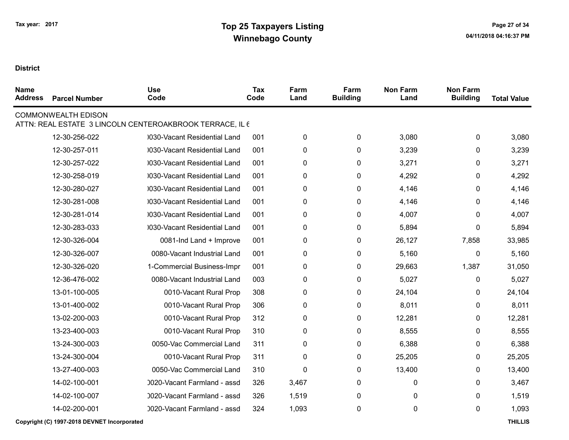| <b>Name</b><br><b>Address</b> | <b>Parcel Number</b>       | <b>Use</b><br>Code                                       | <b>Tax</b><br>Code | Farm<br>Land | Farm<br><b>Building</b> | <b>Non Farm</b><br>Land | <b>Non Farm</b><br><b>Building</b> | <b>Total Value</b> |
|-------------------------------|----------------------------|----------------------------------------------------------|--------------------|--------------|-------------------------|-------------------------|------------------------------------|--------------------|
|                               | <b>COMMONWEALTH EDISON</b> | ATTN: REAL ESTATE 3 LINCOLN CENTEROAKBROOK TERRACE, IL 6 |                    |              |                         |                         |                                    |                    |
|                               | 12-30-256-022              | 0030-Vacant Residential Land                             | 001                | 0            | 0                       | 3,080                   | 0                                  | 3,080              |
|                               | 12-30-257-011              | 0030-Vacant Residential Land                             | 001                | 0            | 0                       | 3,239                   | 0                                  | 3,239              |
|                               | 12-30-257-022              | 0030-Vacant Residential Land                             | 001                | 0            | 0                       | 3,271                   | 0                                  | 3,271              |
|                               | 12-30-258-019              | 0030-Vacant Residential Land                             | 001                | 0            | 0                       | 4,292                   | 0                                  | 4,292              |
|                               | 12-30-280-027              | 030-Vacant Residential Land                              | 001                | 0            | 0                       | 4,146                   | 0                                  | 4,146              |
|                               | 12-30-281-008              | 0030-Vacant Residential Land                             | 001                | 0            | 0                       | 4,146                   | 0                                  | 4,146              |
|                               | 12-30-281-014              | 0030-Vacant Residential Land                             | 001                | 0            | 0                       | 4,007                   | 0                                  | 4,007              |
|                               | 12-30-283-033              | 0030-Vacant Residential Land                             | 001                | 0            | 0                       | 5,894                   | 0                                  | 5,894              |
|                               | 12-30-326-004              | 0081-Ind Land + Improve                                  | 001                | 0            | 0                       | 26,127                  | 7,858                              | 33,985             |
|                               | 12-30-326-007              | 0080-Vacant Industrial Land                              | 001                | 0            | $\pmb{0}$               | 5,160                   | $\pmb{0}$                          | 5,160              |
|                               | 12-30-326-020              | 1-Commercial Business-Impr                               | 001                | 0            | 0                       | 29,663                  | 1,387                              | 31,050             |
|                               | 12-36-476-002              | 0080-Vacant Industrial Land                              | 003                | 0            | 0                       | 5,027                   | 0                                  | 5,027              |
|                               | 13-01-100-005              | 0010-Vacant Rural Prop                                   | 308                | 0            | $\pmb{0}$               | 24,104                  | 0                                  | 24,104             |
|                               | 13-01-400-002              | 0010-Vacant Rural Prop                                   | 306                | 0            | 0                       | 8,011                   | 0                                  | 8,011              |
|                               | 13-02-200-003              | 0010-Vacant Rural Prop                                   | 312                | 0            | 0                       | 12,281                  | 0                                  | 12,281             |
|                               | 13-23-400-003              | 0010-Vacant Rural Prop                                   | 310                | 0            | 0                       | 8,555                   | 0                                  | 8,555              |
|                               | 13-24-300-003              | 0050-Vac Commercial Land                                 | 311                | 0            | 0                       | 6,388                   | 0                                  | 6,388              |
|                               | 13-24-300-004              | 0010-Vacant Rural Prop                                   | 311                | 0            | 0                       | 25,205                  | 0                                  | 25,205             |
|                               | 13-27-400-003              | 0050-Vac Commercial Land                                 | 310                | 0            | 0                       | 13,400                  | 0                                  | 13,400             |
|                               | 14-02-100-001              | 0020-Vacant Farmland - assd                              | 326                | 3,467        | 0                       | 0                       | 0                                  | 3,467              |
|                               | 14-02-100-007              | 0020-Vacant Farmland - assd                              | 326                | 1,519        | 0                       | 0                       | $\mathbf{0}$                       | 1,519              |
|                               | 14-02-200-001              | 0020-Vacant Farmland - assd                              | 324                | 1,093        | 0                       | 0                       | 0                                  | 1,093              |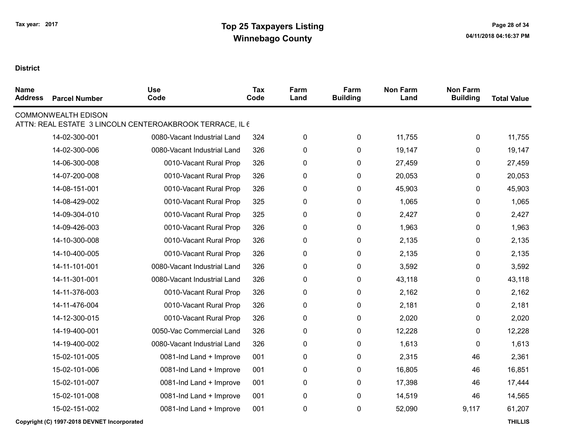| <b>Name</b><br><b>Address</b> | <b>Parcel Number</b>       | <b>Use</b><br>Code                                       | Tax<br>Code | Farm<br>Land | Farm<br><b>Building</b> | <b>Non Farm</b><br>Land | <b>Non Farm</b><br><b>Building</b> | <b>Total Value</b> |
|-------------------------------|----------------------------|----------------------------------------------------------|-------------|--------------|-------------------------|-------------------------|------------------------------------|--------------------|
|                               | <b>COMMONWEALTH EDISON</b> | ATTN: REAL ESTATE 3 LINCOLN CENTEROAKBROOK TERRACE, IL 6 |             |              |                         |                         |                                    |                    |
|                               | 14-02-300-001              | 0080-Vacant Industrial Land                              | 324         | $\pmb{0}$    | 0                       | 11,755                  | 0                                  | 11,755             |
|                               | 14-02-300-006              | 0080-Vacant Industrial Land                              | 326         | $\pmb{0}$    | 0                       | 19,147                  | 0                                  | 19,147             |
|                               | 14-06-300-008              | 0010-Vacant Rural Prop                                   | 326         | 0            | 0                       | 27,459                  | 0                                  | 27,459             |
|                               | 14-07-200-008              | 0010-Vacant Rural Prop                                   | 326         | 0            | 0                       | 20,053                  | 0                                  | 20,053             |
|                               | 14-08-151-001              | 0010-Vacant Rural Prop                                   | 326         | 0            | 0                       | 45,903                  | 0                                  | 45,903             |
|                               | 14-08-429-002              | 0010-Vacant Rural Prop                                   | 325         | 0            | 0                       | 1,065                   | 0                                  | 1,065              |
|                               | 14-09-304-010              | 0010-Vacant Rural Prop                                   | 325         | 0            | 0                       | 2,427                   | 0                                  | 2,427              |
|                               | 14-09-426-003              | 0010-Vacant Rural Prop                                   | 326         | 0            | 0                       | 1,963                   | 0                                  | 1,963              |
|                               | 14-10-300-008              | 0010-Vacant Rural Prop                                   | 326         | 0            | $\pmb{0}$               | 2,135                   | 0                                  | 2,135              |
|                               | 14-10-400-005              | 0010-Vacant Rural Prop                                   | 326         | 0            | $\pmb{0}$               | 2,135                   | 0                                  | 2,135              |
|                               | 14-11-101-001              | 0080-Vacant Industrial Land                              | 326         | $\pmb{0}$    | 0                       | 3,592                   | 0                                  | 3,592              |
|                               | 14-11-301-001              | 0080-Vacant Industrial Land                              | 326         | 0            | 0                       | 43,118                  | 0                                  | 43,118             |
|                               | 14-11-376-003              | 0010-Vacant Rural Prop                                   | 326         | 0            | 0                       | 2,162                   | 0                                  | 2,162              |
|                               | 14-11-476-004              | 0010-Vacant Rural Prop                                   | 326         | 0            | 0                       | 2,181                   | 0                                  | 2,181              |
|                               | 14-12-300-015              | 0010-Vacant Rural Prop                                   | 326         | 0            | 0                       | 2,020                   | 0                                  | 2,020              |
|                               | 14-19-400-001              | 0050-Vac Commercial Land                                 | 326         | 0            | 0                       | 12,228                  | 0                                  | 12,228             |
|                               | 14-19-400-002              | 0080-Vacant Industrial Land                              | 326         | $\pmb{0}$    | 0                       | 1,613                   | 0                                  | 1,613              |
|                               | 15-02-101-005              | 0081-Ind Land + Improve                                  | 001         | 0            | 0                       | 2,315                   | 46                                 | 2,361              |
|                               | 15-02-101-006              | 0081-Ind Land + Improve                                  | 001         | $\pmb{0}$    | $\pmb{0}$               | 16,805                  | 46                                 | 16,851             |
|                               | 15-02-101-007              | 0081-Ind Land + Improve                                  | 001         | 0            | 0                       | 17,398                  | 46                                 | 17,444             |
|                               | 15-02-101-008              | 0081-Ind Land + Improve                                  | 001         | 0            | 0                       | 14,519                  | 46                                 | 14,565             |
|                               | 15-02-151-002              | 0081-Ind Land + Improve                                  | 001         | $\pmb{0}$    | 0                       | 52,090                  | 9,117                              | 61,207             |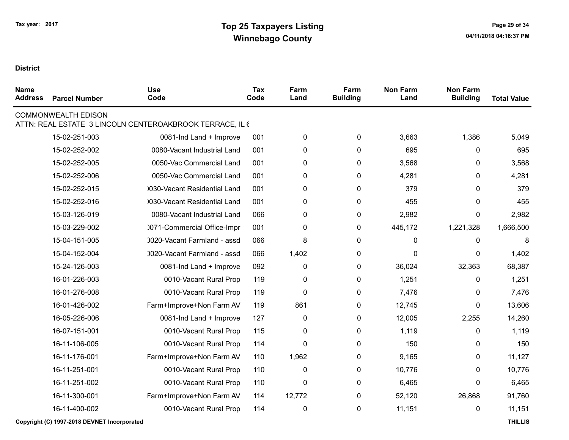| <b>Name</b><br><b>Address</b> | <b>Parcel Number</b>       | <b>Use</b><br>Code                                       | <b>Tax</b><br>Code | Farm<br>Land | Farm<br><b>Building</b> | <b>Non Farm</b><br>Land | <b>Non Farm</b><br><b>Building</b> | <b>Total Value</b> |
|-------------------------------|----------------------------|----------------------------------------------------------|--------------------|--------------|-------------------------|-------------------------|------------------------------------|--------------------|
|                               | <b>COMMONWEALTH EDISON</b> | ATTN: REAL ESTATE 3 LINCOLN CENTEROAKBROOK TERRACE, IL 6 |                    |              |                         |                         |                                    |                    |
|                               | 15-02-251-003              | 0081-Ind Land + Improve                                  | 001                | $\pmb{0}$    | $\pmb{0}$               | 3,663                   | 1,386                              | 5,049              |
|                               | 15-02-252-002              | 0080-Vacant Industrial Land                              | 001                | 0            | $\pmb{0}$               | 695                     | $\pmb{0}$                          | 695                |
|                               | 15-02-252-005              | 0050-Vac Commercial Land                                 | 001                | $\mathbf 0$  | $\mathbf 0$             | 3,568                   | $\mathbf 0$                        | 3,568              |
|                               | 15-02-252-006              | 0050-Vac Commercial Land                                 | 001                | 0            | 0                       | 4,281                   | 0                                  | 4,281              |
|                               | 15-02-252-015              | 0030-Vacant Residential Land                             | 001                | 0            | $\mathbf 0$             | 379                     | $\mathbf{0}$                       | 379                |
|                               | 15-02-252-016              | 0030-Vacant Residential Land                             | 001                | 0            | 0                       | 455                     | 0                                  | 455                |
|                               | 15-03-126-019              | 0080-Vacant Industrial Land                              | 066                | 0            | 0                       | 2,982                   | $\mathbf{0}$                       | 2,982              |
|                               | 15-03-229-002              | 0071-Commercial Office-Impr                              | 001                | 0            | $\pmb{0}$               | 445,172                 | 1,221,328                          | 1,666,500          |
|                               | 15-04-151-005              | 0020-Vacant Farmland - assd                              | 066                | 8            | 0                       | $\mathbf{0}$            | $\mathbf{0}$                       | 8                  |
|                               | 15-04-152-004              | 0020-Vacant Farmland - assd                              | 066                | 1,402        | $\pmb{0}$               | $\mathbf{0}$            | 0                                  | 1,402              |
|                               | 15-24-126-003              | 0081-Ind Land + Improve                                  | 092                | $\mathbf 0$  | 0                       | 36,024                  | 32,363                             | 68,387             |
|                               | 16-01-226-003              | 0010-Vacant Rural Prop                                   | 119                | 0            | $\pmb{0}$               | 1,251                   | $\pmb{0}$                          | 1,251              |
|                               | 16-01-276-008              | 0010-Vacant Rural Prop                                   | 119                | $\mathbf{0}$ | $\pmb{0}$               | 7,476                   | 0                                  | 7,476              |
|                               | 16-01-426-002              | Farm+Improve+Non Farm AV                                 | 119                | 861          | 0                       | 12,745                  | $\pmb{0}$                          | 13,606             |
|                               | 16-05-226-006              | 0081-Ind Land + Improve                                  | 127                | 0            | 0                       | 12,005                  | 2,255                              | 14,260             |
|                               | 16-07-151-001              | 0010-Vacant Rural Prop                                   | 115                | 0            | $\pmb{0}$               | 1,119                   | 0                                  | 1,119              |
|                               | 16-11-106-005              | 0010-Vacant Rural Prop                                   | 114                | $\mathbf{0}$ | 0                       | 150                     | $\mathbf{0}$                       | 150                |
|                               | 16-11-176-001              | Farm+Improve+Non Farm AV                                 | 110                | 1,962        | $\pmb{0}$               | 9,165                   | 0                                  | 11,127             |
|                               | 16-11-251-001              | 0010-Vacant Rural Prop                                   | 110                | 0            | 0                       | 10,776                  | $\mathbf{0}$                       | 10,776             |
|                               | 16-11-251-002              | 0010-Vacant Rural Prop                                   | 110                | 0            | $\mathbf 0$             | 6,465                   | $\mathbf{0}$                       | 6,465              |
|                               | 16-11-300-001              | Farm+Improve+Non Farm AV                                 | 114                | 12,772       | $\pmb{0}$               | 52,120                  | 26,868                             | 91,760             |
|                               | 16-11-400-002              | 0010-Vacant Rural Prop                                   | 114                | $\pmb{0}$    | $\pmb{0}$               | 11,151                  | $\pmb{0}$                          | 11,151             |
|                               |                            |                                                          |                    |              |                         |                         |                                    |                    |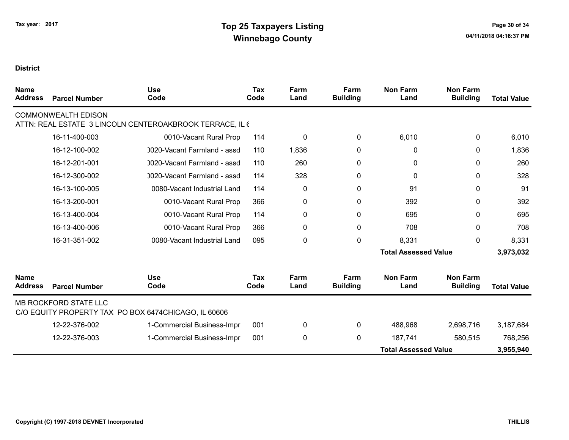| <b>Name</b><br><b>Address</b> | <b>Parcel Number</b>         | <b>Use</b><br>Code                                       | <b>Tax</b><br>Code | Farm<br>Land | Farm<br><b>Building</b> | <b>Non Farm</b><br>Land     | <b>Non Farm</b><br><b>Building</b> | <b>Total Value</b> |
|-------------------------------|------------------------------|----------------------------------------------------------|--------------------|--------------|-------------------------|-----------------------------|------------------------------------|--------------------|
|                               | <b>COMMONWEALTH EDISON</b>   | ATTN: REAL ESTATE 3 LINCOLN CENTEROAKBROOK TERRACE, IL 6 |                    |              |                         |                             |                                    |                    |
|                               | 16-11-400-003                | 0010-Vacant Rural Prop                                   | 114                | 0            | 0                       | 6,010                       | 0                                  | 6,010              |
|                               | 16-12-100-002                | 0020-Vacant Farmland - assd                              | 110                | 1,836        | $\mathbf{0}$            | 0                           | 0                                  | 1,836              |
|                               | 16-12-201-001                | 0020-Vacant Farmland - assd                              | 110                | 260          | 0                       | 0                           | 0                                  | 260                |
|                               | 16-12-300-002                | 0020-Vacant Farmland - assd                              | 114                | 328          | 0                       | 0                           | 0                                  | 328                |
|                               | 16-13-100-005                | 0080-Vacant Industrial Land                              | 114                | 0            | 0                       | 91                          | 0                                  | 91                 |
|                               | 16-13-200-001                | 0010-Vacant Rural Prop                                   | 366                | 0            | 0                       | 392                         | 0                                  | 392                |
|                               | 16-13-400-004                | 0010-Vacant Rural Prop                                   | 114                | 0            | 0                       | 695                         | 0                                  | 695                |
|                               | 16-13-400-006                | 0010-Vacant Rural Prop                                   | 366                | 0            | $\mathbf 0$             | 708                         | 0                                  | 708                |
|                               | 16-31-351-002                | 0080-Vacant Industrial Land                              | 095                | 0            | $\mathbf 0$             | 8,331                       | 0                                  | 8,331              |
|                               |                              |                                                          |                    |              |                         | <b>Total Assessed Value</b> |                                    | 3,973,032          |
| <b>Name</b><br><b>Address</b> | <b>Parcel Number</b>         | <b>Use</b><br>Code                                       | Tax<br>Code        | Farm<br>Land | Farm<br><b>Building</b> | <b>Non Farm</b><br>Land     | <b>Non Farm</b><br><b>Building</b> | <b>Total Value</b> |
|                               | <b>MB ROCKFORD STATE LLC</b> | C/O EQUITY PROPERTY TAX PO BOX 6474CHICAGO, IL 60606     |                    |              |                         |                             |                                    |                    |
|                               | 12-22-376-002                | 1-Commercial Business-Impr                               | 001                | 0            | 0                       | 488,968                     | 2,698,716                          | 3,187,684          |
|                               | 12-22-376-003                | 1-Commercial Business-Impr                               | 001                | 0            | $\mathbf{0}$            | 187,741                     | 580,515                            | 768,256            |
|                               |                              |                                                          |                    |              |                         | <b>Total Assessed Value</b> |                                    | 3,955,940          |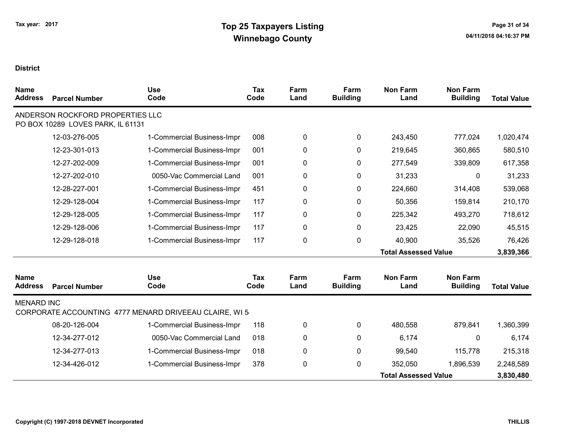| <b>Name</b><br><b>Address</b> | <b>Parcel Number</b>                                                  | <b>Use</b><br>Code                                     | <b>Tax</b><br>Code | Farm<br>Land | Farm<br><b>Building</b> | <b>Non Farm</b><br>Land     | <b>Non Farm</b><br><b>Building</b> | <b>Total Value</b> |
|-------------------------------|-----------------------------------------------------------------------|--------------------------------------------------------|--------------------|--------------|-------------------------|-----------------------------|------------------------------------|--------------------|
|                               | ANDERSON ROCKFORD PROPERTIES LLC<br>PO BOX 10289 LOVES PARK, IL 61131 |                                                        |                    |              |                         |                             |                                    |                    |
|                               | 12-03-276-005                                                         | 1-Commercial Business-Impr                             | 008                | 0            | $\mathbf{0}$            | 243,450                     | 777,024                            | 1,020,474          |
|                               | 12-23-301-013                                                         | 1-Commercial Business-Impr                             | 001                | 0            | 0                       | 219,645                     | 360,865                            | 580,510            |
|                               | 12-27-202-009                                                         | 1-Commercial Business-Impr                             | 001                | 0            | 0                       | 277,549                     | 339,809                            | 617,358            |
|                               | 12-27-202-010                                                         | 0050-Vac Commercial Land                               | 001                | 0            | 0                       | 31,233                      | $\mathbf{0}$                       | 31,233             |
|                               | 12-28-227-001                                                         | 1-Commercial Business-Impr                             | 451                | 0            | 0                       | 224,660                     | 314,408                            | 539,068            |
|                               | 12-29-128-004                                                         | 1-Commercial Business-Impr                             | 117                | 0            | 0                       | 50,356                      | 159,814                            | 210,170            |
|                               | 12-29-128-005                                                         | 1-Commercial Business-Impr                             | 117                | 0            | 0                       | 225,342                     | 493,270                            | 718,612            |
|                               | 12-29-128-006                                                         | 1-Commercial Business-Impr                             | 117                | 0            | 0                       | 23,425                      | 22,090                             | 45,515             |
|                               | 12-29-128-018                                                         | 1-Commercial Business-Impr                             | 117                | 0            | 0                       | 40,900                      | 35,526                             | 76,426             |
|                               |                                                                       |                                                        |                    |              |                         | <b>Total Assessed Value</b> |                                    | 3,839,366          |
| <b>Name</b><br><b>Address</b> | <b>Parcel Number</b>                                                  | <b>Use</b><br>Code                                     | <b>Tax</b><br>Code | Farm<br>Land | Farm<br><b>Building</b> | <b>Non Farm</b><br>Land     | <b>Non Farm</b><br><b>Building</b> | <b>Total Value</b> |
| <b>MENARD INC</b>             |                                                                       | CORPORATE ACCOUNTING 4777 MENARD DRIVEEAU CLAIRE, WI 5 |                    |              |                         |                             |                                    |                    |
|                               | 08-20-126-004                                                         | 1-Commercial Business-Impr                             | 118                | 0            | 0                       | 480,558                     | 879,841                            | 1,360,399          |
|                               | 12-34-277-012                                                         | 0050-Vac Commercial Land                               | 018                | 0            | 0                       | 6,174                       | 0                                  | 6,174              |
|                               | 12-34-277-013                                                         | 1-Commercial Business-Impr                             | 018                | 0            | 0                       | 99,540                      | 115,778                            | 215,318            |
|                               | 12-34-426-012                                                         | 1-Commercial Business-Impr                             | 378                | 0            | 0                       | 352,050                     | 1,896,539                          | 2,248,589          |
|                               |                                                                       |                                                        |                    |              |                         | <b>Total Assessed Value</b> |                                    | 3,830,480          |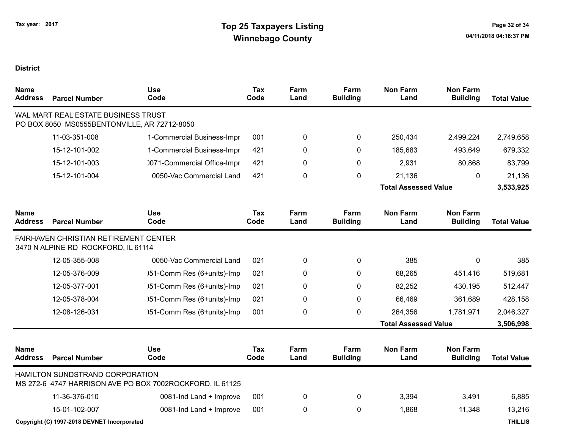| <b>Name</b><br><b>Address</b> | <b>Parcel Number</b>                                                                | <b>Use</b><br>Code                                       | <b>Tax</b><br>Code | Farm<br>Land | Farm<br><b>Building</b> | <b>Non Farm</b><br>Land     | <b>Non Farm</b><br><b>Building</b> | <b>Total Value</b> |
|-------------------------------|-------------------------------------------------------------------------------------|----------------------------------------------------------|--------------------|--------------|-------------------------|-----------------------------|------------------------------------|--------------------|
|                               | WAL MART REAL ESTATE BUSINESS TRUST<br>PO BOX 8050 MS0555BENTONVILLE, AR 72712-8050 |                                                          |                    |              |                         |                             |                                    |                    |
|                               | 11-03-351-008                                                                       | 1-Commercial Business-Impr                               | 001                | 0            | 0                       | 250,434                     | 2,499,224                          | 2,749,658          |
|                               | 15-12-101-002                                                                       | 1-Commercial Business-Impr                               | 421                | 0            | $\Omega$                | 185,683                     | 493,649                            | 679,332            |
|                               | 15-12-101-003                                                                       | 0071-Commercial Office-Impr                              | 421                | 0            | 0                       | 2,931                       | 80,868                             | 83,799             |
|                               | 15-12-101-004                                                                       | 0050-Vac Commercial Land                                 | 421                | 0            | 0                       | 21,136                      | $\mathbf 0$                        | 21,136             |
|                               |                                                                                     |                                                          |                    |              |                         | <b>Total Assessed Value</b> |                                    | 3,533,925          |
| <b>Name</b><br><b>Address</b> | <b>Parcel Number</b>                                                                | <b>Use</b><br>Code                                       | <b>Tax</b><br>Code | Farm<br>Land | Farm<br><b>Building</b> | <b>Non Farm</b><br>Land     | <b>Non Farm</b><br><b>Building</b> | <b>Total Value</b> |
|                               | <b>FAIRHAVEN CHRISTIAN RETIREMENT CENTER</b><br>3470 N ALPINE RD ROCKFORD, IL 61114 |                                                          |                    |              |                         |                             |                                    |                    |
|                               | 12-05-355-008                                                                       | 0050-Vac Commercial Land                                 | 021                | 0            | 0                       | 385                         | $\mathbf 0$                        | 385                |
|                               | 12-05-376-009                                                                       | )51-Comm Res (6+units)-Imp                               | 021                | 0            | 0                       | 68,265                      | 451,416                            | 519,681            |
|                               | 12-05-377-001                                                                       | )51-Comm Res (6+units)-Imp                               | 021                | 0            | $\Omega$                | 82,252                      | 430,195                            | 512,447            |
|                               | 12-05-378-004                                                                       | )51-Comm Res (6+units)-Imp                               | 021                | 0            | $\Omega$                | 66,469                      | 361,689                            | 428,158            |
|                               | 12-08-126-031                                                                       | )51-Comm Res (6+units)-Imp                               | 001                | 0            | 0                       | 264,356                     | 1,781,971                          | 2,046,327          |
|                               |                                                                                     |                                                          |                    |              |                         | <b>Total Assessed Value</b> |                                    | 3,506,998          |
| <b>Name</b><br><b>Address</b> | <b>Parcel Number</b>                                                                | <b>Use</b><br>Code                                       | Tax<br>Code        | Farm<br>Land | Farm<br><b>Building</b> | <b>Non Farm</b><br>Land     | <b>Non Farm</b><br><b>Building</b> | <b>Total Value</b> |
|                               | HAMILTON SUNDSTRAND CORPORATION                                                     | MS 272-6 4747 HARRISON AVE PO BOX 7002ROCKFORD, IL 61125 |                    |              |                         |                             |                                    |                    |
|                               | 11-36-376-010                                                                       | 0081-Ind Land + Improve                                  | 001                | 0            | 0                       | 3,394                       | 3,491                              | 6,885              |
|                               | 15-01-102-007                                                                       | 0081-Ind Land + Improve                                  | 001                | 0            | $\mathbf{0}$            | 1,868                       | 11,348                             | 13,216             |
|                               | Copyright (C) 1997-2018 DEVNET Incorporated                                         |                                                          |                    |              |                         |                             |                                    | <b>THILLIS</b>     |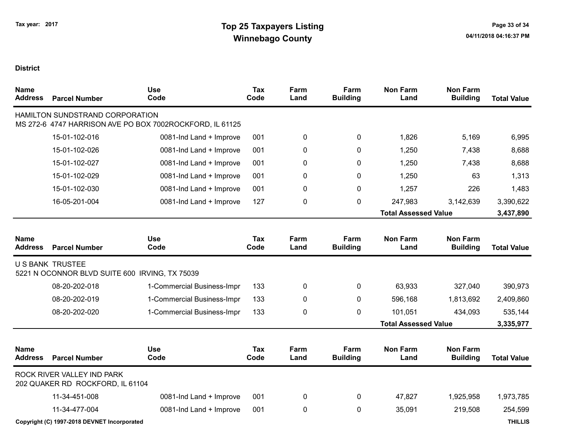| <b>Name</b><br><b>Address</b> | <b>Parcel Number</b>                                                      | <b>Use</b><br>Code                                       | <b>Tax</b><br>Code | Farm<br>Land | Farm<br><b>Building</b> | <b>Non Farm</b><br>Land     | <b>Non Farm</b><br><b>Building</b> | <b>Total Value</b> |
|-------------------------------|---------------------------------------------------------------------------|----------------------------------------------------------|--------------------|--------------|-------------------------|-----------------------------|------------------------------------|--------------------|
|                               | HAMILTON SUNDSTRAND CORPORATION                                           | MS 272-6 4747 HARRISON AVE PO BOX 7002ROCKFORD, IL 61125 |                    |              |                         |                             |                                    |                    |
|                               | 15-01-102-016                                                             | 0081-Ind Land + Improve                                  | 001                | 0            | 0                       | 1,826                       | 5,169                              | 6,995              |
|                               | 15-01-102-026                                                             | 0081-Ind Land + Improve                                  | 001                | 0            | $\mathbf{0}$            | 1,250                       | 7,438                              | 8,688              |
|                               | 15-01-102-027                                                             | 0081-Ind Land + Improve                                  | 001                | 0            | 0                       | 1,250                       | 7,438                              | 8,688              |
|                               | 15-01-102-029                                                             | 0081-Ind Land + Improve                                  | 001                | 0            | 0                       | 1,250                       | 63                                 | 1,313              |
|                               | 15-01-102-030                                                             | 0081-Ind Land + Improve                                  | 001                | 0            | $\mathbf{0}$            | 1,257                       | 226                                | 1,483              |
|                               | 16-05-201-004                                                             | 0081-Ind Land + Improve                                  | 127                | 0            | $\mathbf 0$             | 247,983                     | 3,142,639                          | 3,390,622          |
|                               |                                                                           |                                                          |                    |              |                         | <b>Total Assessed Value</b> |                                    | 3,437,890          |
| <b>Name</b><br><b>Address</b> | <b>Parcel Number</b>                                                      | <b>Use</b><br>Code                                       | Tax<br>Code        | Farm<br>Land | Farm<br><b>Building</b> | <b>Non Farm</b><br>Land     | <b>Non Farm</b><br><b>Building</b> | <b>Total Value</b> |
|                               | <b>U S BANK TRUSTEE</b><br>5221 N OCONNOR BLVD SUITE 600 IRVING, TX 75039 |                                                          |                    |              |                         |                             |                                    |                    |
|                               | 08-20-202-018                                                             | 1-Commercial Business-Impr                               | 133                | 0            | $\mathbf 0$             | 63,933                      | 327,040                            | 390,973            |
|                               | 08-20-202-019                                                             | 1-Commercial Business-Impr                               | 133                | 0            | $\Omega$                | 596,168                     | 1,813,692                          | 2,409,860          |
|                               | 08-20-202-020                                                             | 1-Commercial Business-Impr                               | 133                | 0            | 0                       | 101,051                     | 434,093                            | 535,144            |
|                               |                                                                           |                                                          |                    |              |                         | <b>Total Assessed Value</b> |                                    | 3,335,977          |
| <b>Name</b><br><b>Address</b> | <b>Parcel Number</b>                                                      | <b>Use</b><br>Code                                       | Tax<br>Code        | Farm<br>Land | Farm<br><b>Building</b> | <b>Non Farm</b><br>Land     | <b>Non Farm</b><br><b>Building</b> | <b>Total Value</b> |
|                               | ROCK RIVER VALLEY IND PARK<br>202 QUAKER RD ROCKFORD, IL 61104            |                                                          |                    |              |                         |                             |                                    |                    |
|                               | 11-34-451-008                                                             | 0081-Ind Land + Improve                                  | 001                | 0            | 0                       | 47,827                      | 1,925,958                          | 1,973,785          |
|                               | 11-34-477-004                                                             | 0081-Ind Land + Improve                                  | 001                | 0            | $\mathbf 0$             | 35,091                      | 219,508                            | 254,599            |
|                               | Copyright (C) 1997-2018 DEVNET Incorporated                               |                                                          |                    |              |                         |                             |                                    | <b>THILLIS</b>     |